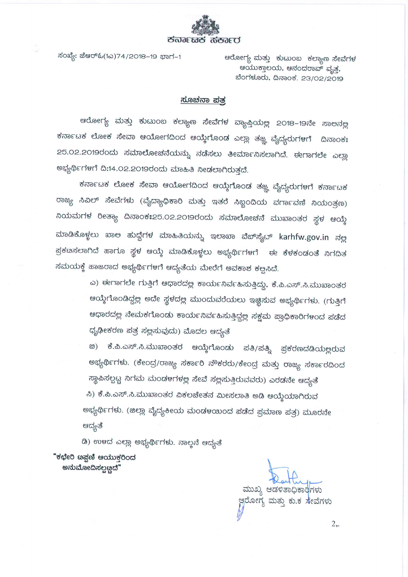

ಸಂಖ್ಯೆ: ಜೆಆರ್ಓ(1ಎ)74/2018-19 ಭಾಗ-1

ಆರೋಗ್ಯ ಮತ್ತು ಕುಟುಂಬ ಕಲ್ಯಾಣ ಸೇವೆಗಳ ಆಯುಕ್ತಾಲಯ, ಆನಂದರಾವ್ ವೃತ್ತ, ಬೆಂಗಳೂರು, ದಿನಾಂಕ. 23/02/2019

## <u>ಸೂಚನಾ ಪತ್ರ</u>

ಆರೋಗ್ಯ ಮತ್ತು ಕುಟುಂಬ ಕಲ್ಯಾಣ ಸೇವೆಗಳ ವ್ಯಾಪ್ತಿಯಲ್ಲ 2೦18–19ನೇ ಸಾಅನಲ್ಲ ಕರ್ನಾಟಕ ಲೋಕ ಸೇವಾ ಆಯೋಗದಿಂದ ಆಯ್ಕೆಗೊಂಡ ಎಲ್ಲಾ ತಜ್ಞ ವೈದ್ಯರುಗಳಗೆ ದಿನಾಂಕಃ 25.02.2019ರಂದು ಸಮಾಲೋಚನೆಯನ್ನು ನಡೆಸಲು ತೀರ್ಮಾನಿಸಲಾಗಿದೆ. ಈಗಾಗಲೇ ಎಲ್ಲಾ ಅಭ್ಯರ್ಥಿಗಳಗೆ ದಿ:14.02.2019ರಂದು ಮಾಹಿತಿ ನೀಡಲಾಗಿರುತ್ತದೆ.

ಕರ್ನಾಟಕ ಲೋಕ ಸೇವಾ ಆಯೋಗದಿಂದ ಆಯ್ಕೆಗೊಂಡ ತಜ್ಞ ವೈದ್ಯರುಗಳಗೆ ಕರ್ನಾಟಕ ರಾಜ್ಯ ಸಿವಿಲ್ ಸೇವೆಗಳು (ವೈದ್ಯಾಧಿಕಾರಿ ಮತ್ತು ಇತರೆ ಸಿಬ್ಬಂದಿಯ ವರ್ಗಾವಣಿ ನಿಯಂತ್ರಣ) ನಿಯಮಗಳ ರೀತ್ಯಾ ದಿನಾಂಕಃ25.02.2019ರಂದು ಸಮಾಲೋಚನೆ ಮುಖಾಂತರ ಸ್ಥಳ ಆಯ್ಕೆ ಮಾಡಿಕೊಳ್ಳಲು ಖಾಅ ಹುದ್ದೆಗಳ ಮಾಹಿತಿಯನ್ನು ಇಲಾಖಾ ವೆಬ್ಸೈ್ಟ್ karhfw.gov.in ನಲ್ಲ ಪ್ರಕೞಸಲಾಗಿದೆ ಹಾಗೂ ಸ್ಥಳ ಆಯ್ಕೆ ಮಾಡಿಕೊಳ್ಳಲು ಅಭ್ಯರ್ಥಿಗಳಗೆ ಈ ಕೆಳಕಂಡಂತೆ ನಿಗದಿತ ಸಮಯಕ್ಕೆ ಹಾಜರಾದ ಅಭ್ಯರ್ಥಿಗಳಗೆ ಆದ್ಯತೆಯ ಮೇರೆಗೆ ಅವಕಾಶ ಕಲ್ಪಸಿದೆ.

> ಎ) ಈಗಾಗಲೇ ಗುತ್ತಿಗೆ ಆಧಾರದಲ್ಲ ಕಾರ್ಯನಿರ್ವಹಿಸುತ್ತಿದ್ದು, ಕೆ.ಪಿ.ಎಸ್.ಸಿ.ಮುಖಾಂತರ ಆಯ್ಕೆಗೊಂಡಿದ್ದಲ್ಲ ಅದೇ ಸ್ಥಳದಲ್ಲ ಮುಂದುವರೆಯಲು ಇಜ್ಛಿಸುವ ಅಭ್ಯರ್ಥಿಗಳು. (ಗುತ್ತಿಗೆ ಆಧಾರದಲ್ಲ ನೇಮಕಗೊಂಡು ಕಾರ್ಯನಿರ್ವಹಿಸುತ್ತಿದ್ದಲ್ಲ ಸಕ್ಷಮ ಪ್ರಾಧಿಕಾರಿಗಳಂದ ಪಡೆದ ಧೃಢೀಕರಣ ಪತ್ರ ಸಲ್ಲಸುವುದು) ಮೊದಲ ಆದ್ಯತೆ

> ಕೆ.ಪಿ.ಎಸ್.ಸಿ.ಮುಖಾಂತರ ಆಯ್ಕೆಗೊಂಡು ಪತಿ/ಪತ್ನಿ 89) ಪ್ರಕರಣದಡಿಯಲ್ಲರುವ ಅಭ್ಯರ್ಥಿಗಳು. (ಕೇಂದ್ರ/ರಾಜ್ಯ ಸರ್ಕಾರಿ ನೌಕರರು/ಕೇಂದ್ರ ಮತ್ತು ರಾಜ್ಯ ಸರ್ಕಾರದಿಂದ

ಸ್ಥಾಪಿಸಲ್ಪಟ್ಟ ನಿಗಮ ಮಂಡಳಗಳಲ್ಲ ಸೇವೆ ಸಲ್ಲಸುತ್ತಿರುವವರು) ಎರಡನೇ ಆದ್ಯತೆ ಸಿ) ಕೆ.ಪಿ.ಎಸ್.ಸಿ.ಮುಖಾಂತರ ವಿಕಲಚೇತನ ಮೀಸಲಾತಿ ಅಡಿ ಆಯ್ತೆಯಾಗಿರುವ ಅಭ್ಯರ್ಥಿಗಳು. (ಜಿಲ್ಲಾ ವೈದ್ಯಕೀಯ ಮಂಡಳಯಿಂದ ಪಡೆದ ಪ್ರಮಾಣ ಪತ್ರ) ಮೂರನೇ ಆದ್ಯತೆ

ಡಿ) ಉಳದ ಎಲ್ಲಾ ಅಭ್ಯರ್ಥಿಗಳು. ನಾಲ್ತನೆ ಆದ್ಯತೆ

"ಕಛೇರಿ ೞಪ್ಷಣಿ ಆಯುಕ್ತರಿಂದ ಅನುಮೋದಿಸಲ್ಪಟ್ಟದೆ"

ಮುಖ್ಯ ಆಡಳಿತಾಧಿಕಾರಿಗಳು ಆ್ಗರೋಗ್ಯ ಮತ್ತು ಕು.ಕ ಸೇವೆಗಳು

 $2,$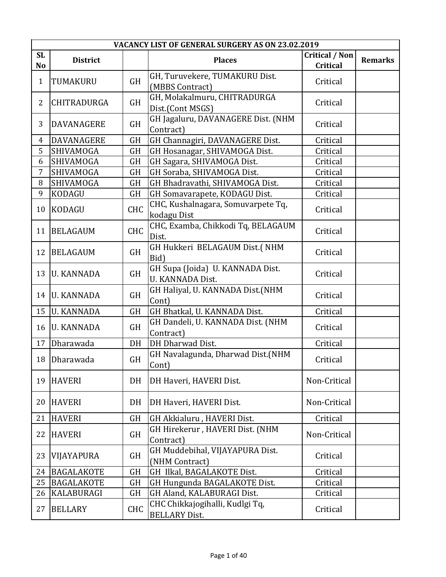|                 | VACANCY LIST OF GENERAL SURGERY AS ON 23.02.2019 |            |                                                             |                                   |                |  |
|-----------------|--------------------------------------------------|------------|-------------------------------------------------------------|-----------------------------------|----------------|--|
| <b>SL</b><br>No | <b>District</b>                                  |            | <b>Places</b>                                               | <b>Critical / Non</b><br>Critical | <b>Remarks</b> |  |
| $\mathbf{1}$    | TUMAKURU                                         | GH         | GH, Turuvekere, TUMAKURU Dist.<br>(MBBS Contract)           | Critical                          |                |  |
| 2               | CHITRADURGA                                      | <b>GH</b>  | GH, Molakalmuru, CHITRADURGA<br>Dist.(Cont MSGS)            | Critical                          |                |  |
| 3               | <b>DAVANAGERE</b>                                | <b>GH</b>  | GH Jagaluru, DAVANAGERE Dist. (NHM<br>Contract)             | Critical                          |                |  |
| 4               | DAVANAGERE                                       | GH         | GH Channagiri, DAVANAGERE Dist.                             | Critical                          |                |  |
| 5               | <b>SHIVAMOGA</b>                                 | GH         | GH Hosanagar, SHIVAMOGA Dist.                               | Critical                          |                |  |
| 6               | <b>SHIVAMOGA</b>                                 | GH         | GH Sagara, SHIVAMOGA Dist.                                  | Critical                          |                |  |
| 7               | SHIVAMOGA                                        | GH         | GH Soraba, SHIVAMOGA Dist.                                  | Critical                          |                |  |
| 8               | SHIVAMOGA                                        | <b>GH</b>  | GH Bhadravathi, SHIVAMOGA Dist.                             | Critical                          |                |  |
| 9               | KODAGU                                           | GH         | GH Somavarapete, KODAGU Dist.                               | Critical                          |                |  |
| 10              | <b>KODAGU</b>                                    | <b>CHC</b> | CHC, Kushalnagara, Somuvarpete Tq,<br>kodagu Dist           | Critical                          |                |  |
| 11              | <b>BELAGAUM</b>                                  | <b>CHC</b> | CHC, Examba, Chikkodi Tq, BELAGAUM<br>Dist.                 | Critical                          |                |  |
| 12              | <b>BELAGAUM</b>                                  | <b>GH</b>  | GH Hukkeri BELAGAUM Dist.(NHM<br>Bid)                       | Critical                          |                |  |
| 13              | <b>U. KANNADA</b>                                | <b>GH</b>  | GH Supa (Joida) U. KANNADA Dist.<br><b>U. KANNADA Dist.</b> | Critical                          |                |  |
| 14              | <b>U. KANNADA</b>                                | <b>GH</b>  | GH Haliyal, U. KANNADA Dist.(NHM<br>Cont)                   | Critical                          |                |  |
| 15              | <b>U. KANNADA</b>                                | <b>GH</b>  | GH Bhatkal, U. KANNADA Dist.                                | Critical                          |                |  |
| 16              | <b>U. KANNADA</b>                                | <b>GH</b>  | GH Dandeli, U. KANNADA Dist. (NHM<br>Contract)              | Critical                          |                |  |
| 17              | Dharawada                                        | DH         | DH Dharwad Dist.                                            | Critical                          |                |  |
| 18              | Dharawada                                        | <b>GH</b>  | GH Navalagunda, Dharwad Dist.(NHM<br>Cont)                  | Critical                          |                |  |
| 19              | <b>HAVERI</b>                                    | DH         | DH Haveri, HAVERI Dist.                                     | Non-Critical                      |                |  |
| 20              | <b>HAVERI</b>                                    | DH         | DH Haveri, HAVERI Dist.                                     | Non-Critical                      |                |  |
| 21              | <b>HAVERI</b>                                    | <b>GH</b>  | GH Akkialuru, HAVERI Dist.                                  | Critical                          |                |  |
| 22              | <b>HAVERI</b>                                    | GH         | GH Hirekerur, HAVERI Dist. (NHM<br>Contract)                | Non-Critical                      |                |  |
| 23              | VIJAYAPURA                                       | <b>GH</b>  | GH Muddebihal, VIJAYAPURA Dist.<br>(NHM Contract)           | Critical                          |                |  |
| 24              | <b>BAGALAKOTE</b>                                | <b>GH</b>  | GH Ilkal, BAGALAKOTE Dist.                                  | Critical                          |                |  |
| 25              | <b>BAGALAKOTE</b>                                | GH         | GH Hungunda BAGALAKOTE Dist.                                | Critical                          |                |  |
| 26              | KALABURAGI                                       | GH         | GH Aland, KALABURAGI Dist.                                  | Critical                          |                |  |
| 27              | <b>BELLARY</b>                                   | <b>CHC</b> | CHC Chikkajogihalli, Kudlgi Tq,<br><b>BELLARY Dist.</b>     | Critical                          |                |  |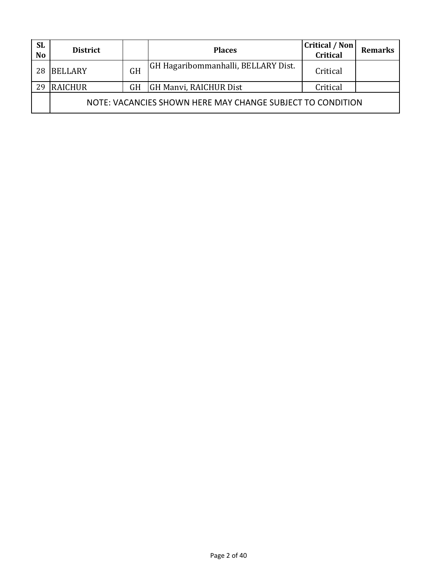| <b>SL</b><br>N <sub>o</sub> | <b>District</b>                                            |           | <b>Places</b>                              | <b>Critical / Non</b><br>Critical | <b>Remarks</b> |  |  |  |
|-----------------------------|------------------------------------------------------------|-----------|--------------------------------------------|-----------------------------------|----------------|--|--|--|
| 28                          | <b>BELLARY</b>                                             | GH        | <b>GH Hagaribommanhalli, BELLARY Dist.</b> | Critical                          |                |  |  |  |
| 29                          | <b>RAICHUR</b>                                             | <b>GH</b> | GH Manvi, RAICHUR Dist                     | Critical                          |                |  |  |  |
|                             | NOTE: VACANCIES SHOWN HERE MAY CHANGE SUBJECT TO CONDITION |           |                                            |                                   |                |  |  |  |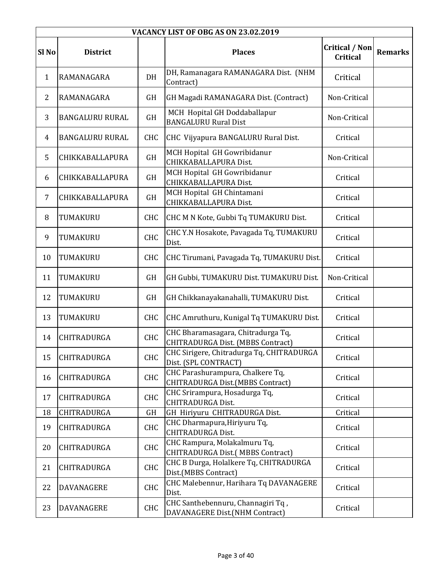|                  | VACANCY LIST OF OBG AS ON 23.02.2019 |            |                                                                         |                                          |                |  |  |  |
|------------------|--------------------------------------|------------|-------------------------------------------------------------------------|------------------------------------------|----------------|--|--|--|
| Sl <sub>No</sub> | <b>District</b>                      |            | <b>Places</b>                                                           | <b>Critical / Non</b><br><b>Critical</b> | <b>Remarks</b> |  |  |  |
| $\mathbf{1}$     | RAMANAGARA                           | DH         | DH, Ramanagara RAMANAGARA Dist. (NHM<br>Contract)                       | Critical                                 |                |  |  |  |
| $\overline{2}$   | RAMANAGARA                           | GH         | GH Magadi RAMANAGARA Dist. (Contract)                                   | Non-Critical                             |                |  |  |  |
| 3                | <b>BANGALURU RURAL</b>               | <b>GH</b>  | MCH Hopital GH Doddaballapur<br><b>BANGALURU Rural Dist</b>             | Non-Critical                             |                |  |  |  |
| 4                | <b>BANGALURU RURAL</b>               | <b>CHC</b> | CHC Vijyapura BANGALURU Rural Dist.                                     | Critical                                 |                |  |  |  |
| 5                | CHIKKABALLAPURA                      | GH         | MCH Hopital GH Gowribidanur<br>CHIKKABALLAPURA Dist.                    | Non-Critical                             |                |  |  |  |
| 6                | CHIKKABALLAPURA                      | GH         | MCH Hopital GH Gowribidanur<br>CHIKKABALLAPURA Dist.                    | Critical                                 |                |  |  |  |
| $\overline{7}$   | CHIKKABALLAPURA                      | <b>GH</b>  | MCH Hopital GH Chintamani<br>CHIKKABALLAPURA Dist.                      | Critical                                 |                |  |  |  |
| 8                | TUMAKURU                             | <b>CHC</b> | CHC M N Kote, Gubbi Tq TUMAKURU Dist.                                   | Critical                                 |                |  |  |  |
| 9                | TUMAKURU                             | CHC        | CHC Y.N Hosakote, Pavagada Tq, TUMAKURU<br>Dist.                        | Critical                                 |                |  |  |  |
| 10               | TUMAKURU                             | CHC        | CHC Tirumani, Pavagada Tq, TUMAKURU Dist.                               | Critical                                 |                |  |  |  |
| 11               | TUMAKURU                             | GH         | GH Gubbi, TUMAKURU Dist. TUMAKURU Dist.                                 | Non-Critical                             |                |  |  |  |
| 12               | TUMAKURU                             | <b>GH</b>  | GH Chikkanayakanahalli, TUMAKURU Dist.                                  | Critical                                 |                |  |  |  |
| 13               | TUMAKURU                             | <b>CHC</b> | CHC Amruthuru, Kunigal Tq TUMAKURU Dist.                                | Critical                                 |                |  |  |  |
| 14               | CHITRADURGA                          | <b>CHC</b> | CHC Bharamasagara, Chitradurga Tq,<br>CHITRADURGA Dist. (MBBS Contract) | Critical                                 |                |  |  |  |
| 15               | CHITRADURGA                          | <b>CHC</b> | CHC Sirigere, Chitradurga Tq, CHITRADURGA<br>Dist. (SPL CONTRACT)       | Critical                                 |                |  |  |  |
| 16               | CHITRADURGA                          | CHC        | CHC Parashurampura, Chalkere Tq,<br>CHITRADURGA Dist.(MBBS Contract)    | Critical                                 |                |  |  |  |
| 17               | CHITRADURGA                          | <b>CHC</b> | CHC Srirampura, Hosadurga Tq,<br><b>CHITRADURGA Dist.</b>               | Critical                                 |                |  |  |  |
| 18               | CHITRADURGA                          | GH         | GH Hiriyuru CHITRADURGA Dist.                                           | Critical                                 |                |  |  |  |
| 19               | CHITRADURGA                          | <b>CHC</b> | CHC Dharmapura, Hiriyuru Tq,<br><b>CHITRADURGA Dist.</b>                | Critical                                 |                |  |  |  |
| 20               | CHITRADURGA                          | CHC        | CHC Rampura, Molakalmuru Tq,<br>CHITRADURGA Dist.(MBBS Contract)        | Critical                                 |                |  |  |  |
| 21               | CHITRADURGA                          | <b>CHC</b> | CHC B Durga, Holalkere Tq, CHITRADURGA<br>Dist.(MBBS Contract)          | Critical                                 |                |  |  |  |
| 22               | <b>DAVANAGERE</b>                    | <b>CHC</b> | CHC Malebennur, Harihara Tq DAVANAGERE<br>Dist.                         | Critical                                 |                |  |  |  |
| 23               | DAVANAGERE                           | CHC        | CHC Santhebennuru, Channagiri Tq,<br>DAVANAGERE Dist.(NHM Contract)     | Critical                                 |                |  |  |  |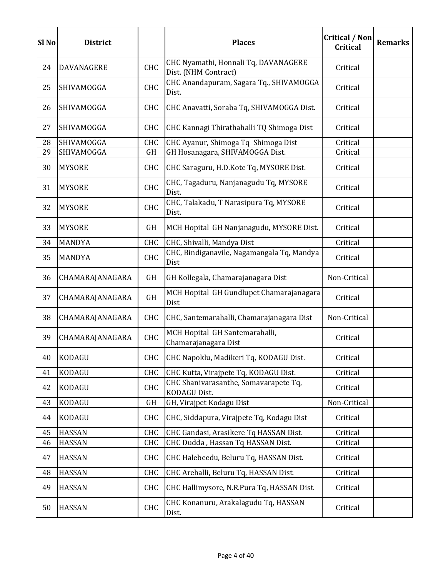| Sl <sub>No</sub> | <b>District</b>   |            | <b>Places</b>                                                | <b>Critical / Non</b><br><b>Critical</b> | <b>Remarks</b> |
|------------------|-------------------|------------|--------------------------------------------------------------|------------------------------------------|----------------|
| 24               | <b>DAVANAGERE</b> | <b>CHC</b> | CHC Nyamathi, Honnali Tq, DAVANAGERE<br>Dist. (NHM Contract) | Critical                                 |                |
| 25               | SHIVAMOGGA        | <b>CHC</b> | CHC Anandapuram, Sagara Tq., SHIVAMOGGA<br>Dist.             | Critical                                 |                |
| 26               | SHIVAMOGGA        | <b>CHC</b> | CHC Anavatti, Soraba Tq, SHIVAMOGGA Dist.                    | Critical                                 |                |
| 27               | SHIVAMOGGA        | <b>CHC</b> | CHC Kannagi Thirathahalli TQ Shimoga Dist                    | Critical                                 |                |
| 28               | SHIVAMOGGA        | <b>CHC</b> | CHC Ayanur, Shimoga Tq Shimoga Dist                          | Critical                                 |                |
| 29               | SHIVAMOGGA        | GH         | GH Hosanagara, SHIVAMOGGA Dist.                              | Critical                                 |                |
| 30               | <b>MYSORE</b>     | <b>CHC</b> | CHC Saraguru, H.D.Kote Tq, MYSORE Dist.                      | Critical                                 |                |
| 31               | <b>MYSORE</b>     | CHC        | CHC, Tagaduru, Nanjanagudu Tq, MYSORE<br>Dist.               | Critical                                 |                |
| 32               | <b>MYSORE</b>     | CHC        | CHC, Talakadu, T Narasipura Tq, MYSORE<br>Dist.              | Critical                                 |                |
| 33               | <b>MYSORE</b>     | GH         | MCH Hopital GH Nanjanagudu, MYSORE Dist.                     | Critical                                 |                |
| 34               | <b>MANDYA</b>     | CHC        | CHC, Shivalli, Mandya Dist                                   | Critical                                 |                |
| 35               | <b>MANDYA</b>     | <b>CHC</b> | CHC, Bindiganavile, Nagamangala Tq, Mandya<br>Dist           | Critical                                 |                |
| 36               | CHAMARAJANAGARA   | GH         | GH Kollegala, Chamarajanagara Dist                           | Non-Critical                             |                |
| 37               | CHAMARAJANAGARA   | <b>GH</b>  | MCH Hopital GH Gundlupet Chamarajanagara<br>Dist             | Critical                                 |                |
| 38               | CHAMARAJANAGARA   | <b>CHC</b> | CHC, Santemarahalli, Chamarajanagara Dist                    | Non-Critical                             |                |
| 39               | CHAMARAJANAGARA   | <b>CHC</b> | MCH Hopital GH Santemarahalli,<br>Chamarajanagara Dist       | Critical                                 |                |
| 40               | <b>KODAGU</b>     | CHC        | CHC Napoklu, Madikeri Tq, KODAGU Dist.                       | Critical                                 |                |
| 41               | KODAGU            | CHC        | CHC Kutta, Virajpete Tq, KODAGU Dist.                        | Critical                                 |                |
| 42               | <b>KODAGU</b>     | CHC        | CHC Shanivarasanthe, Somavarapete Tq,<br><b>KODAGU Dist.</b> | Critical                                 |                |
| 43               | KODAGU            | <b>GH</b>  | GH, Virajpet Kodagu Dist                                     | Non-Critical                             |                |
| 44               | <b>KODAGU</b>     | <b>CHC</b> | CHC, Siddapura, Virajpete Tq, Kodagu Dist                    | Critical                                 |                |
| 45               | <b>HASSAN</b>     | CHC        | CHC Gandasi, Arasikere Tq HASSAN Dist.                       | Critical                                 |                |
| 46               | <b>HASSAN</b>     | <b>CHC</b> | CHC Dudda, Hassan Tq HASSAN Dist.                            | Critical                                 |                |
| 47               | <b>HASSAN</b>     | CHC        | CHC Halebeedu, Beluru Tq, HASSAN Dist.                       | Critical                                 |                |
| 48               | HASSAN            | CHC        | CHC Arehalli, Beluru Tq, HASSAN Dist.                        | Critical                                 |                |
| 49               | <b>HASSAN</b>     | <b>CHC</b> | CHC Hallimysore, N.R.Pura Tq, HASSAN Dist.                   | Critical                                 |                |
| 50               | <b>HASSAN</b>     | CHC        | CHC Konanuru, Arakalagudu Tq, HASSAN<br>Dist.                | Critical                                 |                |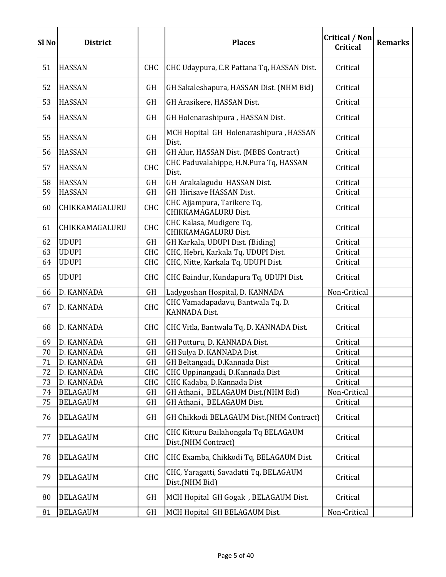| Sl <sub>No</sub> | <b>District</b> |            | <b>Places</b>                                               | <b>Critical / Non</b><br>Critical | <b>Remarks</b> |
|------------------|-----------------|------------|-------------------------------------------------------------|-----------------------------------|----------------|
| 51               | <b>HASSAN</b>   | <b>CHC</b> | CHC Udaypura, C.R Pattana Tq, HASSAN Dist.                  | Critical                          |                |
| 52               | <b>HASSAN</b>   | GH         | GH Sakaleshapura, HASSAN Dist. (NHM Bid)                    | Critical                          |                |
| 53               | <b>HASSAN</b>   | GH         | GH Arasikere, HASSAN Dist.                                  | Critical                          |                |
| 54               | <b>HASSAN</b>   | GH         | GH Holenarashipura, HASSAN Dist.                            | Critical                          |                |
| 55               | <b>HASSAN</b>   | GH         | MCH Hopital GH Holenarashipura, HASSAN<br>Dist.             | Critical                          |                |
| 56               | <b>HASSAN</b>   | GH         | GH Alur, HASSAN Dist. (MBBS Contract)                       | Critical                          |                |
| 57               | <b>HASSAN</b>   | <b>CHC</b> | CHC Paduvalahippe, H.N.Pura Tq, HASSAN<br>Dist.             | Critical                          |                |
| 58               | <b>HASSAN</b>   | <b>GH</b>  | GH Arakalagudu HASSAN Dist.                                 | Critical                          |                |
| 59               | <b>HASSAN</b>   | <b>GH</b>  | GH Hirisave HASSAN Dist.                                    | Critical                          |                |
| 60               | CHIKKAMAGALURU  | <b>CHC</b> | CHC Ajjampura, Tarikere Tq,<br>CHIKKAMAGALURU Dist.         | Critical                          |                |
| 61               | CHIKKAMAGALURU  | <b>CHC</b> | CHC Kalasa, Mudigere Tq,<br>CHIKKAMAGALURU Dist.            | Critical                          |                |
| 62               | <b>UDUPI</b>    | <b>GH</b>  | GH Karkala, UDUPI Dist. (Biding)                            | Critical                          |                |
| 63               | <b>UDUPI</b>    | CHC        | CHC, Hebri, Karkala Tq, UDUPI Dist.                         | Critical                          |                |
| 64               | <b>UDUPI</b>    | <b>CHC</b> | CHC, Nitte, Karkala Tq, UDUPI Dist.                         | Critical                          |                |
| 65               | <b>UDUPI</b>    | CHC        | CHC Baindur, Kundapura Tq, UDUPI Dist.                      | Critical                          |                |
| 66               | D. KANNADA      | GH         | Ladygoshan Hospital, D. KANNADA                             | Non-Critical                      |                |
| 67               | D. KANNADA      | <b>CHC</b> | CHC Vamadapadavu, Bantwala Tq, D.<br><b>KANNADA Dist.</b>   | Critical                          |                |
| 68               | D. KANNADA      | <b>CHC</b> | CHC Vitla, Bantwala Tq, D. KANNADA Dist.                    | Critical                          |                |
| 69               | D. KANNADA      | GH         | GH Putturu, D. KANNADA Dist.                                | Critical                          |                |
| 70               | D. KANNADA      | GH         | GH Sulya D. KANNADA Dist.                                   | Critical                          |                |
| 71               | D. KANNADA      | GH         | GH Beltangadi, D.Kannada Dist                               | Critical                          |                |
| 72               | D. KANNADA      | <b>CHC</b> | CHC Uppinangadi, D.Kannada Dist                             | Critical                          |                |
| 73               | D. KANNADA      | <b>CHC</b> | CHC Kadaba, D.Kannada Dist                                  | Critical                          |                |
| 74               | <b>BELAGAUM</b> | GH         | GH Athani., BELAGAUM Dist.(NHM Bid)                         | Non-Critical                      |                |
| 75               | <b>BELAGAUM</b> | GH         | GH Athani., BELAGAUM Dist.                                  | Critical                          |                |
| 76               | <b>BELAGAUM</b> | GH         | GH Chikkodi BELAGAUM Dist. (NHM Contract)                   | Critical                          |                |
| 77               | <b>BELAGAUM</b> | <b>CHC</b> | CHC Kitturu Bailahongala Tq BELAGAUM<br>Dist.(NHM Contract) | Critical                          |                |
| 78               | <b>BELAGAUM</b> | <b>CHC</b> | CHC Examba, Chikkodi Tq, BELAGAUM Dist.                     | Critical                          |                |
| 79               | <b>BELAGAUM</b> | <b>CHC</b> | CHC, Yaragatti, Savadatti Tq, BELAGAUM<br>Dist.(NHM Bid)    | Critical                          |                |
| 80               | <b>BELAGAUM</b> | GH         | MCH Hopital GH Gogak, BELAGAUM Dist.                        | Critical                          |                |
| 81               | <b>BELAGAUM</b> | GH         | MCH Hopital GH BELAGAUM Dist.                               | Non-Critical                      |                |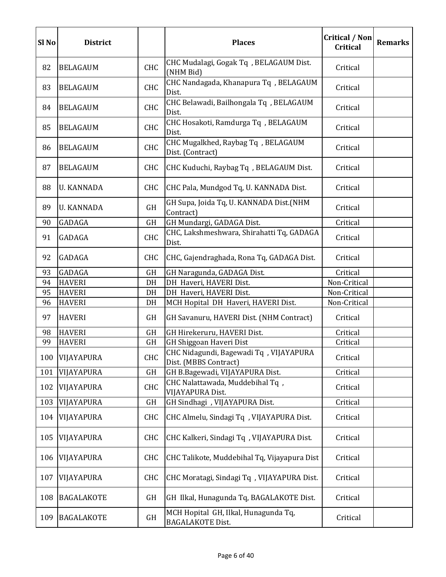| Sl <sub>No</sub> | <b>District</b>   |            | <b>Places</b>                                                    | <b>Critical / Non</b><br><b>Critical</b> | <b>Remarks</b> |
|------------------|-------------------|------------|------------------------------------------------------------------|------------------------------------------|----------------|
| 82               | <b>BELAGAUM</b>   | <b>CHC</b> | CHC Mudalagi, Gogak Tq, BELAGAUM Dist.<br>(NHM Bid)              | Critical                                 |                |
| 83               | <b>BELAGAUM</b>   | <b>CHC</b> | CHC Nandagada, Khanapura Tq, BELAGAUM<br>Dist.                   | Critical                                 |                |
| 84               | <b>BELAGAUM</b>   | <b>CHC</b> | CHC Belawadi, Bailhongala Tq, BELAGAUM<br>Dist.                  | Critical                                 |                |
| 85               | <b>BELAGAUM</b>   | CHC        | CHC Hosakoti, Ramdurga Tq, BELAGAUM<br>Dist.                     | Critical                                 |                |
| 86               | <b>BELAGAUM</b>   | CHC        | CHC Mugalkhed, Raybag Tq, BELAGAUM<br>Dist. (Contract)           | Critical                                 |                |
| 87               | <b>BELAGAUM</b>   | <b>CHC</b> | CHC Kuduchi, Raybag Tq, BELAGAUM Dist.                           | Critical                                 |                |
| 88               | <b>U. KANNADA</b> | <b>CHC</b> | CHC Pala, Mundgod Tq, U. KANNADA Dist.                           | Critical                                 |                |
| 89               | <b>U. KANNADA</b> | GH         | GH Supa, Joida Tq, U. KANNADA Dist.(NHM<br>Contract)             | Critical                                 |                |
| 90               | GADAGA            | GH         | GH Mundargi, GADAGA Dist.                                        | Critical                                 |                |
| 91               | GADAGA            | <b>CHC</b> | CHC, Lakshmeshwara, Shirahatti Tq, GADAGA<br>Dist.               | Critical                                 |                |
| 92               | GADAGA            | <b>CHC</b> | CHC, Gajendraghada, Rona Tq, GADAGA Dist.                        | Critical                                 |                |
| 93               | GADAGA            | <b>GH</b>  | GH Naragunda, GADAGA Dist.                                       | Critical                                 |                |
| 94               | <b>HAVERI</b>     | DH         | DH Haveri, HAVERI Dist.                                          | Non-Critical                             |                |
| 95               | <b>HAVERI</b>     | DH         | DH Haveri, HAVERI Dist.                                          | Non-Critical                             |                |
| 96               | <b>HAVERI</b>     | DH         | MCH Hopital DH Haveri, HAVERI Dist.                              | Non-Critical                             |                |
| 97               | <b>HAVERI</b>     | GH         | GH Savanuru, HAVERI Dist. (NHM Contract)                         | Critical                                 |                |
| 98               | <b>HAVERI</b>     | GH         | GH Hirekeruru, HAVERI Dist.                                      | Critical                                 |                |
| 99               | <b>HAVERI</b>     | GH         | GH Shiggoan Haveri Dist                                          | Critical                                 |                |
| 100              | VIJAYAPURA        | <b>CHC</b> | CHC Nidagundi, Bagewadi Tq , VIJAYAPURA<br>Dist. (MBBS Contract) | Critical                                 |                |
| 101              | VIJAYAPURA        | <b>GH</b>  | GH B.Bagewadi, VIJAYAPURA Dist.                                  | Critical                                 |                |
| 102              | VIJAYAPURA        | CHC        | CHC Nalattawada, Muddebihal Tq,<br>VIJAYAPURA Dist.              | Critical                                 |                |
| 103              | VIJAYAPURA        | GH         | GH Sindhagi , VIJAYAPURA Dist.                                   | Critical                                 |                |
| 104              | VIJAYAPURA        | <b>CHC</b> | CHC Almelu, Sindagi Tq, VIJAYAPURA Dist.                         | Critical                                 |                |
| 105              | VIJAYAPURA        | <b>CHC</b> | CHC Kalkeri, Sindagi Tq, VIJAYAPURA Dist.                        | Critical                                 |                |
| 106              | VIJAYAPURA        | <b>CHC</b> | CHC Talikote, Muddebihal Tq, Vijayapura Dist                     | Critical                                 |                |
| 107              | VIJAYAPURA        | <b>CHC</b> | CHC Moratagi, Sindagi Tq, VIJAYAPURA Dist.                       | Critical                                 |                |
| 108              | <b>BAGALAKOTE</b> | GH         | GH Ilkal, Hunagunda Tq, BAGALAKOTE Dist.                         | Critical                                 |                |
| 109              | <b>BAGALAKOTE</b> | GH         | MCH Hopital GH, Ilkal, Hunagunda Tq,<br><b>BAGALAKOTE Dist.</b>  | Critical                                 |                |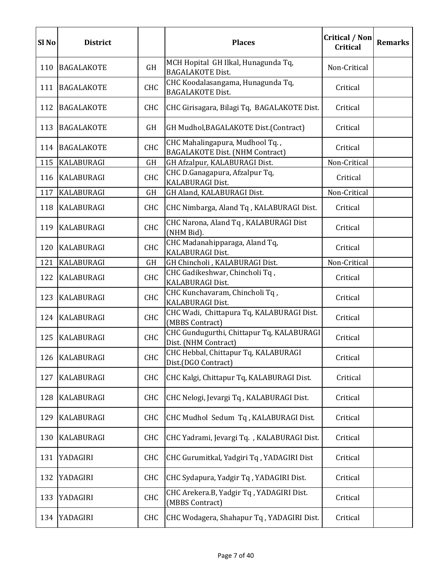| Sl <sub>No</sub> | <b>District</b>   |            | <b>Places</b>                                                             | <b>Critical / Non</b><br><b>Critical</b> | <b>Remarks</b> |
|------------------|-------------------|------------|---------------------------------------------------------------------------|------------------------------------------|----------------|
| 110              | <b>BAGALAKOTE</b> | GH         | MCH Hopital GH Ilkal, Hunagunda Tq,<br><b>BAGALAKOTE Dist.</b>            | Non-Critical                             |                |
| 111              | <b>BAGALAKOTE</b> | CHC        | CHC Koodalasangama, Hunagunda Tq,<br><b>BAGALAKOTE Dist.</b>              | Critical                                 |                |
| 112              | <b>BAGALAKOTE</b> | <b>CHC</b> | CHC Girisagara, Bilagi Tq, BAGALAKOTE Dist.                               | Critical                                 |                |
| 113              | <b>BAGALAKOTE</b> | GH         | GH Mudhol, BAGALAKOTE Dist. (Contract)                                    | Critical                                 |                |
| 114              | <b>BAGALAKOTE</b> | <b>CHC</b> | CHC Mahalingapura, Mudhool Tq.,<br><b>BAGALAKOTE Dist. (NHM Contract)</b> | Critical                                 |                |
| 115              | <b>KALABURAGI</b> | GH         | GH Afzalpur, KALABURAGI Dist.                                             | Non-Critical                             |                |
| 116              | <b>KALABURAGI</b> | <b>CHC</b> | CHC D.Ganagapura, Afzalpur Tq,<br>KALABURAGI Dist.                        | Critical                                 |                |
| 117              | KALABURAGI        | GH         | GH Aland, KALABURAGI Dist.                                                | Non-Critical                             |                |
| 118              | <b>KALABURAGI</b> | <b>CHC</b> | CHC Nimbarga, Aland Tq, KALABURAGI Dist.                                  | Critical                                 |                |
| 119              | <b>KALABURAGI</b> | CHC        | CHC Narona, Aland Tq, KALABURAGI Dist<br>(NHM Bid).                       | Critical                                 |                |
|                  | 120 KALABURAGI    | <b>CHC</b> | CHC Madanahipparaga, Aland Tq,<br>KALABURAGI Dist.                        | Critical                                 |                |
| 121              | <b>KALABURAGI</b> | GH         | GH Chincholi, KALABURAGI Dist.                                            | Non-Critical                             |                |
| 122              | <b>KALABURAGI</b> | <b>CHC</b> | CHC Gadikeshwar, Chincholi Tq,<br>KALABURAGI Dist.                        | Critical                                 |                |
| 123              | <b>KALABURAGI</b> | CHC        | CHC Kunchavaram, Chincholi Tq,<br>KALABURAGI Dist.                        | Critical                                 |                |
|                  | 124   KALABURAGI  | <b>CHC</b> | CHC Wadi, Chittapura Tq, KALABURAGI Dist.<br>(MBBS Contract)              | Critical                                 |                |
| 125              | <b>KALABURAGI</b> | CHC        | CHC Gundugurthi, Chittapur Tq, KALABURAGI<br>Dist. (NHM Contract)         | Critical                                 |                |
| 126              | <b>KALABURAGI</b> | <b>CHC</b> | CHC Hebbal, Chittapur Tq, KALABURAGI<br>Dist.(DGO Contract)               | Critical                                 |                |
| 127              | <b>KALABURAGI</b> | <b>CHC</b> | CHC Kalgi, Chittapur Tq, KALABURAGI Dist.                                 | Critical                                 |                |
| 128              | <b>KALABURAGI</b> | <b>CHC</b> | CHC Nelogi, Jevargi Tq, KALABURAGI Dist.                                  | Critical                                 |                |
| 129              | <b>KALABURAGI</b> | <b>CHC</b> | CHC Mudhol Sedum Tq, KALABURAGI Dist.                                     | Critical                                 |                |
| 130              | <b>KALABURAGI</b> | <b>CHC</b> | CHC Yadrami, Jevargi Tq. , KALABURAGI Dist.                               | Critical                                 |                |
| 131              | YADAGIRI          | <b>CHC</b> | CHC Gurumitkal, Yadgiri Tq, YADAGIRI Dist                                 | Critical                                 |                |
| 132              | YADAGIRI          | <b>CHC</b> | CHC Sydapura, Yadgir Tq, YADAGIRI Dist.                                   | Critical                                 |                |
| 133              | YADAGIRI          | <b>CHC</b> | CHC Arekera.B, Yadgir Tq, YADAGIRI Dist.<br>(MBBS Contract)               | Critical                                 |                |
| 134              | YADAGIRI          | <b>CHC</b> | CHC Wodagera, Shahapur Tq, YADAGIRI Dist.                                 | Critical                                 |                |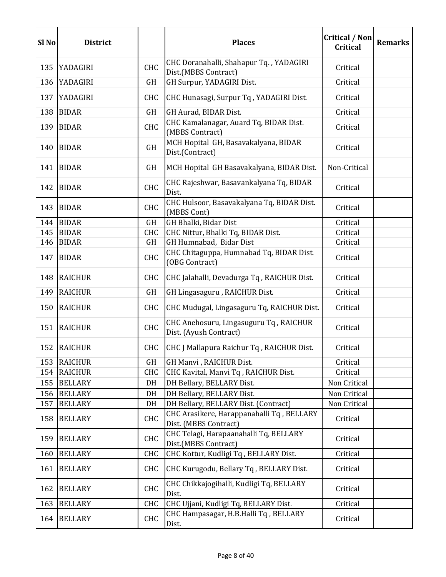| Sl <sub>No</sub> | <b>District</b> |            | <b>Places</b>                                                      | <b>Critical / Non</b><br><b>Critical</b> | <b>Remarks</b> |
|------------------|-----------------|------------|--------------------------------------------------------------------|------------------------------------------|----------------|
| 135              | YADAGIRI        | <b>CHC</b> | CHC Doranahalli, Shahapur Tq., YADAGIRI<br>Dist.(MBBS Contract)    | Critical                                 |                |
| 136              | YADAGIRI        | GH         | GH Surpur, YADAGIRI Dist.                                          | Critical                                 |                |
| 137              | YADAGIRI        | <b>CHC</b> | CHC Hunasagi, Surpur Tq, YADAGIRI Dist.                            | Critical                                 |                |
| 138              | <b>BIDAR</b>    | <b>GH</b>  | GH Aurad, BIDAR Dist.                                              | Critical                                 |                |
| 139              | <b>BIDAR</b>    | <b>CHC</b> | CHC Kamalanagar, Auard Tq, BIDAR Dist.<br>(MBBS Contract)          | Critical                                 |                |
| 140              | <b>BIDAR</b>    | GH         | MCH Hopital GH, Basavakalyana, BIDAR<br>Dist.(Contract)            | Critical                                 |                |
| 141              | <b>BIDAR</b>    | GH         | MCH Hopital GH Basavakalyana, BIDAR Dist.                          | Non-Critical                             |                |
| 142              | <b>BIDAR</b>    | <b>CHC</b> | CHC Rajeshwar, Basavankalyana Tq, BIDAR<br>Dist.                   | Critical                                 |                |
| 143              | <b>BIDAR</b>    | <b>CHC</b> | CHC Hulsoor, Basavakalyana Tq, BIDAR Dist.<br>(MBBS Cont)          | Critical                                 |                |
| 144              | <b>BIDAR</b>    | GH         | GH Bhalki, Bidar Dist                                              | Critical                                 |                |
| 145              | <b>BIDAR</b>    | CHC        | CHC Nittur, Bhalki Tq, BIDAR Dist.                                 | Critical                                 |                |
| 146              | <b>BIDAR</b>    | GH         | GH Humnabad, Bidar Dist                                            | Critical                                 |                |
| 147              | <b>BIDAR</b>    | <b>CHC</b> | CHC Chitaguppa, Humnabad Tq, BIDAR Dist.<br>(OBG Contract)         | Critical                                 |                |
| 148              | <b>RAICHUR</b>  | <b>CHC</b> | CHC Jalahalli, Devadurga Tq, RAICHUR Dist.                         | Critical                                 |                |
| 149              | <b>RAICHUR</b>  | GH         | GH Lingasaguru, RAICHUR Dist.                                      | Critical                                 |                |
| 150              | <b>RAICHUR</b>  | <b>CHC</b> | CHC Mudugal, Lingasaguru Tq, RAICHUR Dist.                         | Critical                                 |                |
| 151              | <b>RAICHUR</b>  | <b>CHC</b> | CHC Anehosuru, Lingasuguru Tq, RAICHUR<br>Dist. (Ayush Contract)   | Critical                                 |                |
| 152              | <b>RAICHUR</b>  | <b>CHC</b> | CHC J Mallapura Raichur Tq, RAICHUR Dist.                          | Critical                                 |                |
| 153              | <b>RAICHUR</b>  | GH         | GH Manvi, RAICHUR Dist.                                            | Critical                                 |                |
| 154              | <b>RAICHUR</b>  | <b>CHC</b> | CHC Kavital, Manvi Tq, RAICHUR Dist.                               | Critical                                 |                |
| 155              | <b>BELLARY</b>  | DH         | DH Bellary, BELLARY Dist.                                          | Non Critical                             |                |
| 156              | <b>BELLARY</b>  | DH         | DH Bellary, BELLARY Dist.                                          | Non Critical                             |                |
| 157              | <b>BELLARY</b>  | DH         | DH Bellary, BELLARY Dist. (Contract)                               | Non Critical                             |                |
| 158              | <b>BELLARY</b>  | <b>CHC</b> | CHC Arasikere, Harappanahalli Tq, BELLARY<br>Dist. (MBBS Contract) | Critical                                 |                |
| 159              | <b>BELLARY</b>  | <b>CHC</b> | CHC Telagi, Harapaanahalli Tq, BELLARY<br>Dist.(MBBS Contract)     | Critical                                 |                |
| 160              | <b>BELLARY</b>  | <b>CHC</b> | CHC Kottur, Kudligi Tq, BELLARY Dist.                              | Critical                                 |                |
| 161              | <b>BELLARY</b>  | <b>CHC</b> | CHC Kurugodu, Bellary Tq, BELLARY Dist.                            | Critical                                 |                |
| 162              | <b>BELLARY</b>  | <b>CHC</b> | CHC Chikkajogihalli, Kudligi Tq, BELLARY<br>Dist.                  | Critical                                 |                |
| 163              | <b>BELLARY</b>  | <b>CHC</b> | CHC Ujjani, Kudligi Tq, BELLARY Dist.                              | Critical                                 |                |
| 164              | <b>BELLARY</b>  | <b>CHC</b> | CHC Hampasagar, H.B.Halli Tq, BELLARY<br>Dist.                     | Critical                                 |                |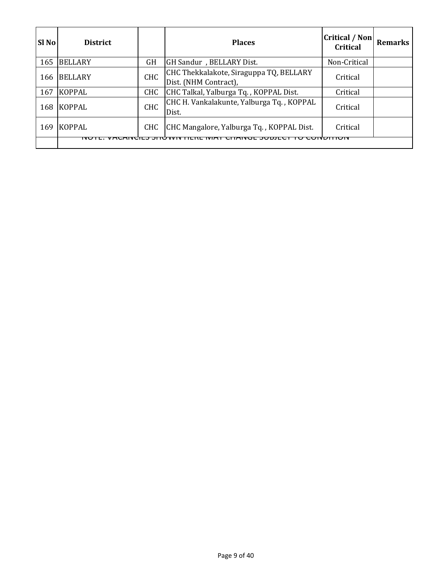| <b>SI</b> No | <b>District</b> |            | <b>Places</b>                                                    | <b>Critical / Non</b><br>Critical | <b>Remarks</b> |
|--------------|-----------------|------------|------------------------------------------------------------------|-----------------------------------|----------------|
| 165          | <b>BELLARY</b>  | GH         | GH Sandur, BELLARY Dist.                                         | Non-Critical                      |                |
| 166          | <b>BELLARY</b>  | <b>CHC</b> | CHC Thekkalakote, Siraguppa TQ, BELLARY<br>Dist. (NHM Contract), | Critical                          |                |
| 167          | <b>KOPPAL</b>   | CHC        | CHC Talkal, Yalburga Tq., KOPPAL Dist.                           | Critical                          |                |
| 168          | <b>KOPPAL</b>   | <b>CHC</b> | CHC H. Vankalakunte, Yalburga Tq., KOPPAL<br>Dist.               | Critical                          |                |
| 169          | <b>KOPPAL</b>   | CHC        | CHC Mangalore, Yalburga Tq., KOPPAL Dist.                        | Critical                          |                |
|              | no              |            |                                                                  | TIUN                              |                |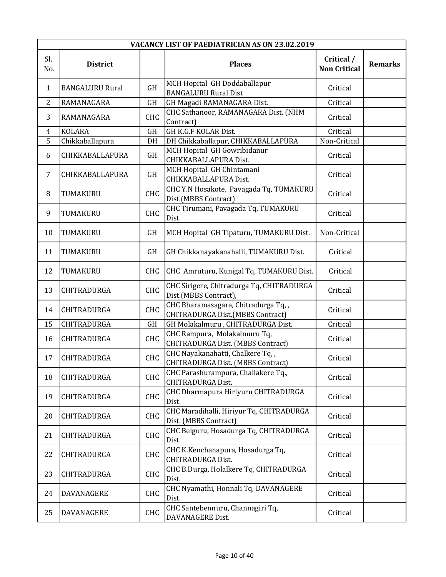|            | VACANCY LIST OF PAEDIATRICIAN AS ON 23.02.2019 |            |                                                                         |                                   |                |  |  |
|------------|------------------------------------------------|------------|-------------------------------------------------------------------------|-----------------------------------|----------------|--|--|
| Sl.<br>No. | <b>District</b>                                |            | <b>Places</b>                                                           | Critical /<br><b>Non Critical</b> | <b>Remarks</b> |  |  |
| 1          | <b>BANGALURU Rural</b>                         | GH         | MCH Hopital GH Doddaballapur<br><b>BANGALURU Rural Dist</b>             | Critical                          |                |  |  |
| 2          | RAMANAGARA                                     | GH         | GH Magadi RAMANAGARA Dist.                                              | Critical                          |                |  |  |
| 3          | RAMANAGARA                                     | <b>CHC</b> | CHC Sathanoor, RAMANAGARA Dist. (NHM<br>Contract)                       | Critical                          |                |  |  |
| 4          | <b>KOLARA</b>                                  | GH         | <b>GH K.G.F KOLAR Dist.</b>                                             | Critical                          |                |  |  |
| 5          | Chikkaballapura                                | DH         | DH Chikkaballapur, CHIKKABALLAPURA                                      | Non-Critical                      |                |  |  |
| 6          | CHIKKABALLAPURA                                | GH         | MCH Hopital GH Gowribidanur<br>CHIKKABALLAPURA Dist.                    | Critical                          |                |  |  |
| 7          | CHIKKABALLAPURA                                | <b>GH</b>  | MCH Hopital GH Chintamani<br>CHIKKABALLAPURA Dist.                      | Critical                          |                |  |  |
| 8          | TUMAKURU                                       | CHC        | CHC Y.N Hosakote, Pavagada Tq, TUMAKURU<br>Dist.(MBBS Contract)         | Critical                          |                |  |  |
| 9          | TUMAKURU                                       | CHC        | CHC Tirumani, Pavagada Tq, TUMAKURU<br>Dist.                            | Critical                          |                |  |  |
| 10         | TUMAKURU                                       | GH         | MCH Hopital GH Tipaturu, TUMAKURU Dist.                                 | Non-Critical                      |                |  |  |
| 11         | TUMAKURU                                       | GH         | GH Chikkanayakanahalli, TUMAKURU Dist.                                  | Critical                          |                |  |  |
| 12         | TUMAKURU                                       | <b>CHC</b> | CHC Amruturu, Kunigal Tq, TUMAKURU Dist.                                | Critical                          |                |  |  |
| 13         | CHITRADURGA                                    | CHC        | CHC Sirigere, Chitradurga Tq, CHITRADURGA<br>Dist.(MBBS Contract),      | Critical                          |                |  |  |
| 14         | CHITRADURGA                                    | CHC        | CHC Bharamasagara, Chitradurga Tq,,<br>CHITRADURGA Dist.(MBBS Contract) | Critical                          |                |  |  |
| 15         | CHITRADURGA                                    | GH         | GH Molakalmuru, CHITRADURGA Dist.                                       | Critical                          |                |  |  |
| 16         | CHITRADURGA                                    | CHC        | CHC Rampura, Molakalmuru Tq,<br>CHITRADURGA Dist. (MBBS Contract)       | Critical                          |                |  |  |
| 17         | CHITRADURGA                                    | CHC        | CHC Nayakanahatti, Chalkere Tq,,<br>CHITRADURGA Dist. (MBBS Contract)   | Critical                          |                |  |  |
| 18         | CHITRADURGA                                    | <b>CHC</b> | CHC Parashurampura, Challakere Tq.,<br><b>CHITRADURGA Dist.</b>         | Critical                          |                |  |  |
| 19         | CHITRADURGA                                    | CHC        | CHC Dharmapura Hiriyuru CHITRADURGA<br>Dist.                            | Critical                          |                |  |  |
| 20         | CHITRADURGA                                    | CHC        | CHC Maradihalli, Hiriyur Tq, CHITRADURGA<br>Dist. (MBBS Contract)       | Critical                          |                |  |  |
| 21         | CHITRADURGA                                    | CHC        | CHC Belguru, Hosadurga Tq, CHITRADURGA<br>Dist.                         | Critical                          |                |  |  |
| 22         | CHITRADURGA                                    | CHC        | CHC K.Kenchanapura, Hosadurga Tq,<br>CHITRADURGA Dist.                  | Critical                          |                |  |  |
| 23         | CHITRADURGA                                    | CHC        | CHC B.Durga, Holalkere Tq, CHITRADURGA<br>Dist.                         | Critical                          |                |  |  |
| 24         | <b>DAVANAGERE</b>                              | CHC        | CHC Nyamathi, Honnali Tq, DAVANAGERE<br>Dist.                           | Critical                          |                |  |  |
| 25         | <b>DAVANAGERE</b>                              | CHC        | CHC Santebennuru, Channagiri Tq,<br>DAVANAGERE Dist.                    | Critical                          |                |  |  |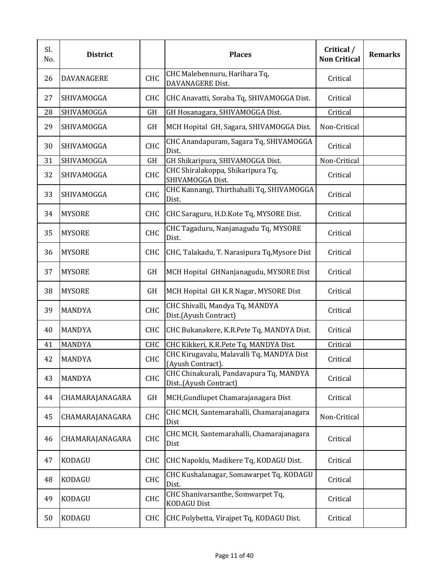| Sl.<br>No. | <b>District</b>   |            | <b>Places</b>                                                   | Critical /<br><b>Non Critical</b> | <b>Remarks</b> |
|------------|-------------------|------------|-----------------------------------------------------------------|-----------------------------------|----------------|
| 26         | <b>DAVANAGERE</b> | CHC        | CHC Malebennuru, Harihara Tq,<br><b>DAVANAGERE Dist.</b>        | Critical                          |                |
| 27         | SHIVAMOGGA        | <b>CHC</b> | CHC Anavatti, Soraba Tq, SHIVAMOGGA Dist.                       | Critical                          |                |
| 28         | SHIVAMOGGA        | GH         | GH Hosanagara, SHIVAMOGGA Dist.                                 | Critical                          |                |
| 29         | SHIVAMOGGA        | GH         | MCH Hopital GH, Sagara, SHIVAMOGGA Dist.                        | Non-Critical                      |                |
| 30         | SHIVAMOGGA        | <b>CHC</b> | CHC Anandapuram, Sagara Tq, SHIVAMOGGA<br>Dist.                 | Critical                          |                |
| 31         | SHIVAMOGGA        | GH         | GH Shikaripura, SHIVAMOGGA Dist.                                | Non-Critical                      |                |
| 32         | SHIVAMOGGA        | CHC        | CHC Shiralakoppa, Shikaripura Tq,<br>SHIVAMOGGA Dist.           | Critical                          |                |
| 33         | SHIVAMOGGA        | <b>CHC</b> | CHC Kannangi, Thirthahalli Tq, SHIVAMOGGA<br>Dist.              | Critical                          |                |
| 34         | <b>MYSORE</b>     | <b>CHC</b> | CHC Saraguru, H.D.Kote Tq, MYSORE Dist.                         | Critical                          |                |
| 35         | <b>MYSORE</b>     | <b>CHC</b> | CHC Tagaduru, Nanjanagudu Tq, MYSORE<br>Dist.                   | Critical                          |                |
| 36         | <b>MYSORE</b>     | <b>CHC</b> | CHC, Talakadu, T. Narasipura Tq, Mysore Dist                    | Critical                          |                |
| 37         | <b>MYSORE</b>     | GH         | MCH Hopital GHNanjanagudu, MYSORE Dist                          | Critical                          |                |
| 38         | <b>MYSORE</b>     | GH         | MCH Hopital GH K.R Nagar, MYSORE Dist                           | Critical                          |                |
| 39         | <b>MANDYA</b>     | CHC        | CHC Shivalli, Mandya Tq, MANDYA<br>Dist.(Ayush Contract)        | Critical                          |                |
| 40         | <b>MANDYA</b>     | <b>CHC</b> | CHC Bukanakere, K.R.Pete Tq, MANDYA Dist.                       | Critical                          |                |
| 41         | MANDYA            | <b>CHC</b> | CHC Kikkeri, K.R.Pete Tq, MANDYA Dist.                          | Critical                          |                |
| 42         | <b>MANDYA</b>     | CHC        | CHC Kirugavalu, Malavalli Tq, MANDYA Dist<br>(Ayush Contract).  | Critical                          |                |
| 43         | <b>MANDYA</b>     | CHC        | CHC Chinakurali, Pandavapura Tq, MANDYA<br>Dist(Ayush Contract) | Critical                          |                |
| 44         | CHAMARAJANAGARA   | GH         | MCH, Gundlupet Chamarajanagara Dist                             | Critical                          |                |
| 45         | CHAMARAJANAGARA   | CHC        | CHC MCH, Santemarahalli, Chamarajanagara<br>Dist                | Non-Critical                      |                |
| 46         | CHAMARAJANAGARA   | CHC        | CHC MCH, Santemarahalli, Chamarajanagara<br>Dist                | Critical                          |                |
| 47         | <b>KODAGU</b>     | <b>CHC</b> | CHC Napoklu, Madikere Tq, KODAGU Dist.                          | Critical                          |                |
| 48         | <b>KODAGU</b>     | CHC        | CHC Kushalanagar, Somawarpet Tq, KODAGU<br>Dist.                | Critical                          |                |
| 49         | <b>KODAGU</b>     | CHC        | CHC Shanivarsanthe, Somwarpet Tq,<br><b>KODAGU Dist</b>         | Critical                          |                |
| 50         | <b>KODAGU</b>     | <b>CHC</b> | CHC Polybetta, Virajpet Tq, KODAGU Dist.                        | Critical                          |                |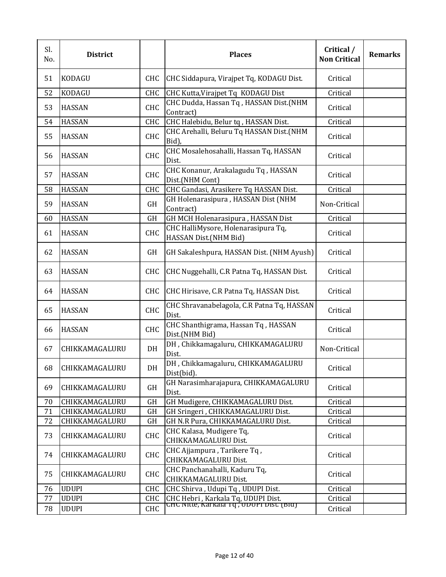| Sl.<br>No. | <b>District</b> |            | <b>Places</b>                                                                | Critical /<br><b>Non Critical</b> | <b>Remarks</b> |
|------------|-----------------|------------|------------------------------------------------------------------------------|-----------------------------------|----------------|
| 51         | <b>KODAGU</b>   | <b>CHC</b> | CHC Siddapura, Virajpet Tq, KODAGU Dist.                                     | Critical                          |                |
| 52         | KODAGU          | <b>CHC</b> | CHC Kutta, Virajpet Tq KODAGU Dist                                           | Critical                          |                |
| 53         | <b>HASSAN</b>   | CHC        | CHC Dudda, Hassan Tq, HASSAN Dist.(NHM<br>Contract)                          | Critical                          |                |
| 54         | <b>HASSAN</b>   | CHC        | CHC Halebidu, Belur tq, HASSAN Dist.                                         | Critical                          |                |
| 55         | <b>HASSAN</b>   | <b>CHC</b> | CHC Arehalli, Beluru Tq HASSAN Dist.(NHM<br>Bid),                            | Critical                          |                |
| 56         | <b>HASSAN</b>   | CHC        | CHC Mosalehosahalli, Hassan Tq, HASSAN<br>Dist.                              | Critical                          |                |
| 57         | <b>HASSAN</b>   | CHC        | CHC Konanur, Arakalagudu Tq, HASSAN<br>Dist.(NHM Cont)                       | Critical                          |                |
| 58         | <b>HASSAN</b>   | CHC        | CHC Gandasi, Arasikere Tq HASSAN Dist.                                       | Critical                          |                |
| 59         | <b>HASSAN</b>   | GH         | GH Holenarasipura, HASSAN Dist (NHM<br>Contract)                             | Non-Critical                      |                |
| 60         | <b>HASSAN</b>   | GH         | GH MCH Holenarasipura, HASSAN Dist                                           | Critical                          |                |
| 61         | <b>HASSAN</b>   | CHC        | CHC HalliMysore, Holenarasipura Tq,<br>HASSAN Dist.(NHM Bid)                 | Critical                          |                |
| 62         | <b>HASSAN</b>   | GH         | GH Sakaleshpura, HASSAN Dist. (NHM Ayush)                                    | Critical                          |                |
| 63         | <b>HASSAN</b>   | <b>CHC</b> | CHC Nuggehalli, C.R Patna Tq, HASSAN Dist.                                   | Critical                          |                |
| 64         | <b>HASSAN</b>   | <b>CHC</b> | CHC Hirisave, C.R Patna Tq, HASSAN Dist.                                     | Critical                          |                |
| 65         | <b>HASSAN</b>   | CHC        | CHC Shravanabelagola, C.R Patna Tq, HASSAN<br>Dist.                          | Critical                          |                |
| 66         | <b>HASSAN</b>   | <b>CHC</b> | CHC Shanthigrama, Hassan Tq, HASSAN<br>Dist.(NHM Bid)                        | Critical                          |                |
| 67         | CHIKKAMAGALURU  | DH         | DH, Chikkamagaluru, CHIKKAMAGALURU<br>Dist.                                  | Non-Critical                      |                |
| 68         | CHIKKAMAGALURU  | DH         | DH, Chikkamagaluru, CHIKKAMAGALURU<br>Dist(bid).                             | Critical                          |                |
| 69         | CHIKKAMAGALURU  | GH         | GH Narasimharajapura, CHIKKAMAGALURU<br>Dist.                                | Critical                          |                |
| 70         | CHIKKAMAGALURU  | GH         | GH Mudigere, CHIKKAMAGALURU Dist.                                            | Critical                          |                |
| 71         | CHIKKAMAGALURU  | GH         | GH Sringeri, CHIKKAMAGALURU Dist.                                            | Critical                          |                |
| 72         | CHIKKAMAGALURU  | GH         | GH N.R Pura, CHIKKAMAGALURU Dist.                                            | Critical                          |                |
| 73         | CHIKKAMAGALURU  | <b>CHC</b> | CHC Kalasa, Mudigere Tq,<br>CHIKKAMAGALURU Dist.                             | Critical                          |                |
| 74         | CHIKKAMAGALURU  | CHC        | CHC Ajjampura, Tarikere Tq,<br>CHIKKAMAGALURU Dist.                          | Critical                          |                |
| 75         | CHIKKAMAGALURU  | <b>CHC</b> | CHC Panchanahalli, Kaduru Tq,<br>CHIKKAMAGALURU Dist.                        | Critical                          |                |
| 76         | <b>UDUPI</b>    | CHC        | CHC Shirva, Udupi Tq, UDUPI Dist.                                            | Critical                          |                |
| 77         | <b>UDUPI</b>    | <b>CHC</b> | CHC Hebri, Karkala Tq, UDUPI Dist.<br>CHC NIUE, Karkala Tq, UDUPI DISC (BIQ) | Critical                          |                |
| 78         | <b>UDUPI</b>    | <b>CHC</b> |                                                                              | Critical                          |                |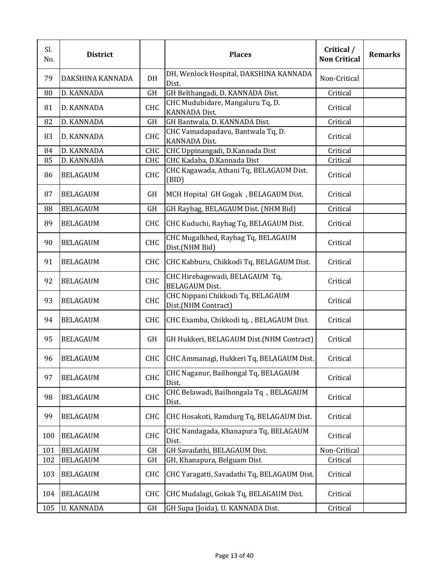| Sl.<br>No. | <b>District</b>   |            | <b>Places</b>                                             | Critical /<br><b>Non Critical</b> | <b>Remarks</b> |
|------------|-------------------|------------|-----------------------------------------------------------|-----------------------------------|----------------|
| 79         | DAKSHINA KANNADA  | DH         | DH, Wenlock Hospital, DAKSHINA KANNADA<br>Dist.           | Non-Critical                      |                |
| 80         | D. KANNADA        | GH         | GH Belthangadi, D. KANNADA Dist.                          | Critical                          |                |
| 81         | D. KANNADA        | CHC        | CHC Mudubidare, Mangaluru Tq, D.<br><b>KANNADA Dist.</b>  | Critical                          |                |
| 82         | D. KANNADA        | GH         | GH Bantwala, D. KANNADA Dist.                             | Critical                          |                |
| 83         | D. KANNADA        | CHC        | CHC Vamadapadavu, Bantwala Tq, D.<br><b>KANNADA Dist.</b> | Critical                          |                |
| 84         | D. KANNADA        | <b>CHC</b> | CHC Uppinangadi, D.Kannada Dist                           | Critical                          |                |
| 85         | D. KANNADA        | <b>CHC</b> | CHC Kadaba, D.Kannada Dist                                | Critical                          |                |
| 86         | <b>BELAGAUM</b>   | CHC        | CHC Kagawada, Athani Tq, BELAGAUM Dist.<br>(BID)          | Critical                          |                |
| 87         | <b>BELAGAUM</b>   | GH         | MCH Hopital GH Gogak, BELAGAUM Dist.                      | Critical                          |                |
| 88         | <b>BELAGAUM</b>   | <b>GH</b>  | GH Raybag, BELAGAUM Dist. (NHM Bid)                       | Critical                          |                |
| 89         | <b>BELAGAUM</b>   | <b>CHC</b> | CHC Kuduchi, Raybag Tq, BELAGAUM Dist.                    | Critical                          |                |
| 90         | <b>BELAGAUM</b>   | CHC        | CHC Mugalkhed, Raybag Tq, BELAGAUM<br>Dist.(NHM Bid)      | Critical                          |                |
| 91         | <b>BELAGAUM</b>   | <b>CHC</b> | CHC Kabburu, Chikkodi Tq, BELAGAUM Dist.                  | Critical                          |                |
| 92         | <b>BELAGAUM</b>   | CHC        | CHC Hirebagewadi, BELAGAUM Tq,<br><b>BELAGAUM Dist.</b>   | Critical                          |                |
| 93         | <b>BELAGAUM</b>   | <b>CHC</b> | CHC Nippani Chikkodi Tq, BELAGAUM<br>Dist.(NHM Contract)  | Critical                          |                |
| 94         | <b>BELAGAUM</b>   | <b>CHC</b> | CHC Examba, Chikkodi tq., BELAGAUM Dist.                  | Critical                          |                |
| 95         | <b>BELAGAUM</b>   | GH         | GH Hukkeri, BELAGAUM Dist.(NHM Contract)                  | Critical                          |                |
| 96         | <b>BELAGAUM</b>   | <b>CHC</b> | CHC Ammanagi, Hukkeri Tq, BELAGAUM Dist.                  | Critical                          |                |
| 97         | <b>BELAGAUM</b>   | <b>CHC</b> | CHC Naganur, Bailhongal Tq, BELAGAUM<br>Dist.             | Critical                          |                |
| 98         | <b>BELAGAUM</b>   | CHC        | CHC Belawadi, Bailhongala Tq, BELAGAUM<br>Dist.           | Critical                          |                |
| 99         | <b>BELAGAUM</b>   | <b>CHC</b> | CHC Hosakoti, Ramdurg Tq, BELAGAUM Dist.                  | Critical                          |                |
| 100        | <b>BELAGAUM</b>   | CHC        | CHC Nandagada, Khanapura Tq, BELAGAUM<br>Dist.            | Critical                          |                |
| 101        | <b>BELAGAUM</b>   | GH         | GH Savadathi, BELAGAUM Dist.                              | Non-Critical                      |                |
| 102        | <b>BELAGAUM</b>   | GH         | GH, Khanapura, Belguam Dist                               | Critical                          |                |
| 103        | <b>BELAGAUM</b>   | <b>CHC</b> | CHC Yaragatti, Savadathi Tq, BELAGAUM Dist.               | Critical                          |                |
| 104        | <b>BELAGAUM</b>   | <b>CHC</b> | CHC Mudalagi, Gokak Tq, BELAGAUM Dist.                    | Critical                          |                |
| 105        | <b>U. KANNADA</b> | GH         | GH Supa (Joida), U. KANNADA Dist.                         | Critical                          |                |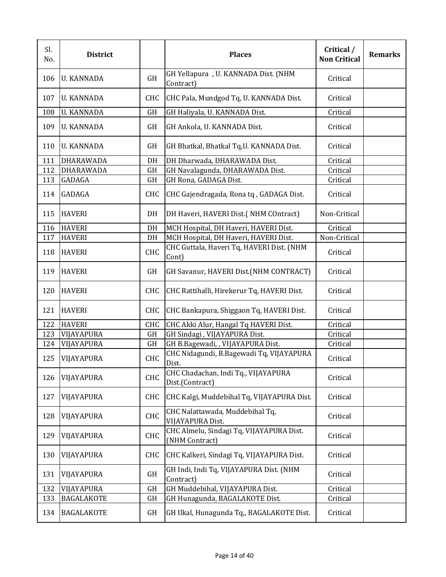| Sl.<br>No. | <b>District</b>   |            | <b>Places</b>                                              | Critical /<br><b>Non Critical</b> | <b>Remarks</b> |
|------------|-------------------|------------|------------------------------------------------------------|-----------------------------------|----------------|
| 106        | <b>U. KANNADA</b> | GH         | GH Yellapura, U. KANNADA Dist. (NHM<br>Contract)           | Critical                          |                |
| 107        | <b>U. KANNADA</b> | <b>CHC</b> | CHC Pala, Mundgod Tq, U. KANNADA Dist.                     | Critical                          |                |
| 108        | <b>U. KANNADA</b> | <b>GH</b>  | GH Haliyala, U. KANNADA Dist.                              | Critical                          |                |
| 109        | <b>U. KANNADA</b> | GH         | GH Ankola, U. KANNADA Dist.                                | Critical                          |                |
| 110        | <b>U. KANNADA</b> | GH         | GH Bhatkal, Bhatkal Tq, U. KANNADA Dist.                   | Critical                          |                |
| 111        | DHARAWADA         | DH         | DH Dharwada, DHARAWADA Dist.                               | Critical                          |                |
| 112        | DHARAWADA         | GH         | GH Navalagunda, DHARAWADA Dist.                            | Critical                          |                |
| 113        | GADAGA            | GH         | GH Rona, GADAGA Dist.                                      | Critical                          |                |
| 114        | GADAGA            | <b>CHC</b> | CHC Gajendragada, Rona tq, GADAGA Dist.                    | Critical                          |                |
| 115        | <b>HAVERI</b>     | DH         | DH Haveri, HAVERI Dist.(NHM COntract)                      | Non-Critical                      |                |
| 116        | <b>HAVERI</b>     | DH         | MCH Hospital, DH Haveri, HAVERI Dist.                      | Critical                          |                |
| 117        | <b>HAVERI</b>     | DH         | MCH Hospital, DH Haveri, HAVERI Dist.                      | Non-Critical                      |                |
| 118        | <b>HAVERI</b>     | CHC        | CHC Guttala, Haveri Tq, HAVERI Dist. (NHM<br>Cont)         | Critical                          |                |
| 119        | <b>HAVERI</b>     | GH         | GH Savanur, HAVERI Dist.(NHM CONTRACT)                     | Critical                          |                |
| 120        | <b>HAVERI</b>     | CHC        | CHC Rattihalli, Hirekerur Tq, HAVERI Dist.                 | Critical                          |                |
| 121        | <b>HAVERI</b>     | <b>CHC</b> | CHC Bankapura, Shiggaon Tq, HAVERI Dist.                   | Critical                          |                |
| 122        | <b>HAVERI</b>     | <b>CHC</b> | CHC Akki Alur, Hangal Tq HAVERI Dist.                      | Critical                          |                |
| 123        | VIJAYAPURA        | GH         | GH Sindagi, VIJAYAPURA Dist.                               | Critical                          |                |
| 124        | VIJAYAPURA        | GH         | GH B.Bagewadi, , VIJAYAPURA Dist.                          | Critical                          |                |
| 125        | VIJAYAPURA        | CHC        | CHC Nidagundi, B.Bagewadi Tq, VIJAYAPURA<br>Dist.          | Critical                          |                |
| 126        | VIJAYAPURA        | CHC        | CHC Chadachan, Indi Tq., VIJAYAPURA<br>Dist.(Contract)     | Critical                          |                |
| 127        | VIJAYAPURA        | <b>CHC</b> | CHC Kalgi, Muddebihal Tq, VIJAYAPURA Dist.                 | Critical                          |                |
| 128        | VIJAYAPURA        | <b>CHC</b> | CHC Nalattawada, Muddebihal Tq,<br>VIJAYAPURA Dist.        | Critical                          |                |
| 129        | VIJAYAPURA        | CHC        | CHC Almelu, Sindagi Tq, VIJAYAPURA Dist.<br>(NHM Contract) | Critical                          |                |
| 130        | VIJAYAPURA        | <b>CHC</b> | CHC Kalkeri, Sindagi Tq, VIJAYAPURA Dist.                  | Critical                          |                |
| 131        | VIJAYAPURA        | GH         | GH Indi, Indi Tq, VIJAYAPURA Dist. (NHM<br>Contract)       | Critical                          |                |
| 132        | VIJAYAPURA        | GH         | GH Muddebihal, VIJAYAPURA Dist.                            | Critical                          |                |
| 133        | <b>BAGALAKOTE</b> | GH         | GH Hunagunda, BAGALAKOTE Dist.                             | Critical                          |                |
| 134        | <b>BAGALAKOTE</b> | GH         | GH Ilkal, Hunagunda Tq,, BAGALAKOTE Dist.                  | Critical                          |                |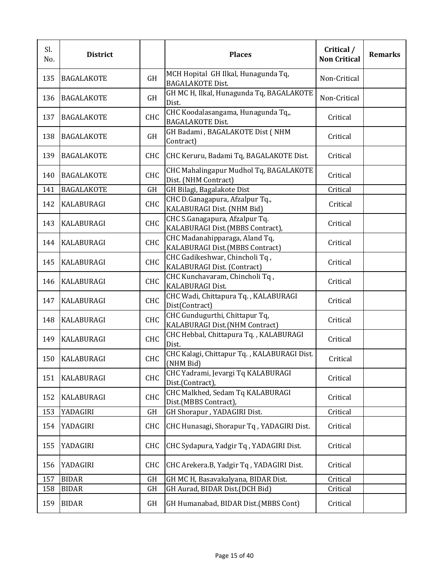| Sl.<br>No. | <b>District</b>   |            | <b>Places</b>                                                      | Critical /<br><b>Non Critical</b> | <b>Remarks</b> |
|------------|-------------------|------------|--------------------------------------------------------------------|-----------------------------------|----------------|
| 135        | <b>BAGALAKOTE</b> | GH         | MCH Hopital GH Ilkal, Hunagunda Tq,<br><b>BAGALAKOTE Dist.</b>     | Non-Critical                      |                |
| 136        | <b>BAGALAKOTE</b> | GH         | GH MC H, Ilkal, Hunagunda Tq, BAGALAKOTE<br>Dist.                  | Non-Critical                      |                |
| 137        | <b>BAGALAKOTE</b> | <b>CHC</b> | CHC Koodalasangama, Hunagunda Tq,,<br><b>BAGALAKOTE Dist.</b>      | Critical                          |                |
| 138        | <b>BAGALAKOTE</b> | GH         | GH Badami, BAGALAKOTE Dist (NHM<br>Contract)                       | Critical                          |                |
| 139        | <b>BAGALAKOTE</b> | <b>CHC</b> | CHC Keruru, Badami Tq, BAGALAKOTE Dist.                            | Critical                          |                |
| 140        | <b>BAGALAKOTE</b> | CHC        | CHC Mahalingapur Mudhol Tq, BAGALAKOTE<br>Dist. (NHM Contract)     | Critical                          |                |
| 141        | <b>BAGALAKOTE</b> | GH         | GH Bilagi, Bagalakote Dist                                         | Critical                          |                |
| 142        | KALABURAGI        | <b>CHC</b> | CHC D.Ganagapura, Afzalpur Tq.,<br>KALABURAGI Dist. (NHM Bid)      | Critical                          |                |
| 143        | <b>KALABURAGI</b> | CHC        | CHC S.Ganagapura, Afzalpur Tq.<br>KALABURAGI Dist.(MBBS Contract), | Critical                          |                |
| 144        | <b>KALABURAGI</b> | CHC        | CHC Madanahipparaga, Aland Tq,<br>KALABURAGI Dist.(MBBS Contract)  | Critical                          |                |
| 145        | <b>KALABURAGI</b> | CHC        | CHC Gadikeshwar, Chincholi Tq,<br>KALABURAGI Dist. (Contract)      | Critical                          |                |
| 146        | <b>KALABURAGI</b> | CHC        | CHC Kunchavaram, Chincholi Tq,<br>KALABURAGI Dist.                 | Critical                          |                |
| 147        | <b>KALABURAGI</b> | CHC        | CHC Wadi, Chittapura Tq., KALABURAGI<br>Dist(Contract)             | Critical                          |                |
| 148        | <b>KALABURAGI</b> | <b>CHC</b> | CHC Gundugurthi, Chittapur Tq,<br>KALABURAGI Dist.(NHM Contract)   | Critical                          |                |
| 149        | <b>KALABURAGI</b> | <b>CHC</b> | CHC Hebbal, Chittapura Tq., KALABURAGI<br>Dist.                    | Critical                          |                |
| 150        | <b>KALABURAGI</b> | CHC        | CHC Kalagi, Chittapur Tq., KALABURAGI Dist.<br>(NHM Bid)           | Critical                          |                |
| 151        | KALABURAGI        | CHC        | CHC Yadrami, Jevargi Tq KALABURAGI<br>Dist.(Contract),             | Critical                          |                |
| 152        | KALABURAGI        | CHC        | CHC Malkhed, Sedam Tq KALABURAGI<br>Dist.(MBBS Contract),          | Critical                          |                |
| 153        | YADAGIRI          | GH         | GH Shorapur, YADAGIRI Dist.                                        | Critical                          |                |
| 154        | YADAGIRI          | <b>CHC</b> | CHC Hunasagi, Shorapur Tq, YADAGIRI Dist.                          | Critical                          |                |
| 155        | YADAGIRI          | CHC        | CHC Sydapura, Yadgir Tq, YADAGIRI Dist.                            | Critical                          |                |
| 156        | YADAGIRI          | CHC        | CHC Arekera.B, Yadgir Tq, YADAGIRI Dist.                           | Critical                          |                |
| 157        | <b>BIDAR</b>      | GH         | GH MC H, Basavakalyana, BIDAR Dist.                                | Critical                          |                |
| 158        | <b>BIDAR</b>      | GH         | GH Aurad, BIDAR Dist.(DCH Bid)                                     | Critical                          |                |
| 159        | <b>BIDAR</b>      | GH         | GH Humanabad, BIDAR Dist.(MBBS Cont)                               | Critical                          |                |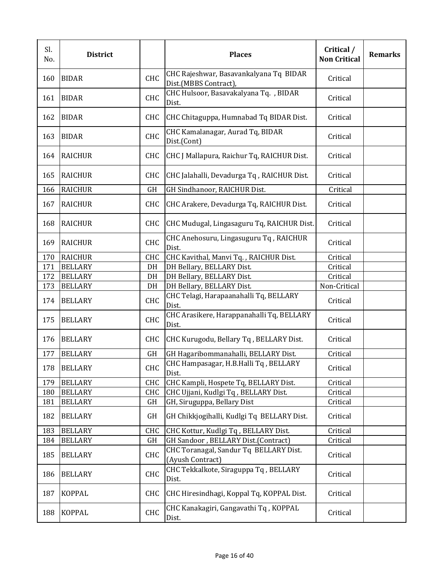| Sl.<br>No. | <b>District</b> |            | <b>Places</b>                                                   | Critical /<br><b>Non Critical</b> | <b>Remarks</b> |
|------------|-----------------|------------|-----------------------------------------------------------------|-----------------------------------|----------------|
| 160        | <b>BIDAR</b>    | CHC        | CHC Rajeshwar, Basavankalyana Tq BIDAR<br>Dist.(MBBS Contract), | Critical                          |                |
| 161        | <b>BIDAR</b>    | CHC        | CHC Hulsoor, Basavakalyana Tq., BIDAR<br>Dist.                  | Critical                          |                |
| 162        | <b>BIDAR</b>    | <b>CHC</b> | CHC Chitaguppa, Humnabad Tq BIDAR Dist.                         | Critical                          |                |
| 163        | <b>BIDAR</b>    | CHC        | CHC Kamalanagar, Aurad Tq, BIDAR<br>Dist.(Cont)                 | Critical                          |                |
| 164        | <b>RAICHUR</b>  | <b>CHC</b> | CHC J Mallapura, Raichur Tq, RAICHUR Dist.                      | Critical                          |                |
| 165        | <b>RAICHUR</b>  | <b>CHC</b> | CHC Jalahalli, Devadurga Tq, RAICHUR Dist.                      | Critical                          |                |
| 166        | <b>RAICHUR</b>  | GH         | GH Sindhanoor, RAICHUR Dist.                                    | Critical                          |                |
| 167        | <b>RAICHUR</b>  | CHC        | CHC Arakere, Devadurga Tq, RAICHUR Dist.                        | Critical                          |                |
| 168        | <b>RAICHUR</b>  | <b>CHC</b> | CHC Mudugal, Lingasaguru Tq, RAICHUR Dist.                      | Critical                          |                |
| 169        | <b>RAICHUR</b>  | <b>CHC</b> | CHC Anehosuru, Lingasuguru Tq, RAICHUR<br>Dist.                 | Critical                          |                |
| 170        | <b>RAICHUR</b>  | CHC        | CHC Kavithal, Manvi Tq., RAICHUR Dist.                          | Critical                          |                |
| 171        | <b>BELLARY</b>  | DH         | DH Bellary, BELLARY Dist.                                       | Critical                          |                |
| 172        | <b>BELLARY</b>  | DH         | DH Bellary, BELLARY Dist.                                       | Critical                          |                |
| 173        | <b>BELLARY</b>  | DH         | DH Bellary, BELLARY Dist.                                       | Non-Critical                      |                |
| 174        | <b>BELLARY</b>  | CHC        | CHC Telagi, Harapaanahalli Tq, BELLARY<br>Dist.                 | Critical                          |                |
| 175        | <b>BELLARY</b>  | <b>CHC</b> | CHC Arasikere, Harappanahalli Tq, BELLARY<br>Dist.              | Critical                          |                |
| 176        | <b>BELLARY</b>  | <b>CHC</b> | CHC Kurugodu, Bellary Tq, BELLARY Dist.                         | Critical                          |                |
| 177        | <b>BELLARY</b>  | GH         | GH Hagaribommanahalli, BELLARY Dist.                            | Critical                          |                |
| 178        | <b>BELLARY</b>  | CHC        | CHC Hampasagar, H.B.Halli Tq, BELLARY<br>Dist.                  | Critical                          |                |
| 179        | <b>BELLARY</b>  | CHC        | CHC Kampli, Hospete Tq, BELLARY Dist.                           | Critical                          |                |
| 180        | <b>BELLARY</b>  | CHC        | CHC Ujjani, Kudlgi Tq, BELLARY Dist.                            | Critical                          |                |
| 181        | <b>BELLARY</b>  | GH         | GH, Siruguppa, Bellary Dist                                     | Critical                          |                |
| 182        | <b>BELLARY</b>  | GH         | GH Chikkjogihalli, Kudlgi Tq BELLARY Dist.                      | Critical                          |                |
| 183        | <b>BELLARY</b>  | <b>CHC</b> | CHC Kottur, Kudlgi Tq, BELLARY Dist.                            | Critical                          |                |
| 184        | <b>BELLARY</b>  | GH         | GH Sandoor, BELLARY Dist.(Contract)                             | Critical                          |                |
| 185        | <b>BELLARY</b>  | CHC        | CHC Toranagal, Sandur Tq BELLARY Dist.<br>(Ayush Contract)      | Critical                          |                |
| 186        | <b>BELLARY</b>  | <b>CHC</b> | CHC Tekkalkote, Siraguppa Tq, BELLARY<br>Dist.                  | Critical                          |                |
| 187        | <b>KOPPAL</b>   | <b>CHC</b> | CHC Hiresindhagi, Koppal Tq, KOPPAL Dist.                       | Critical                          |                |
| 188        | <b>KOPPAL</b>   | CHC        | CHC Kanakagiri, Gangavathi Tq, KOPPAL<br>Dist.                  | Critical                          |                |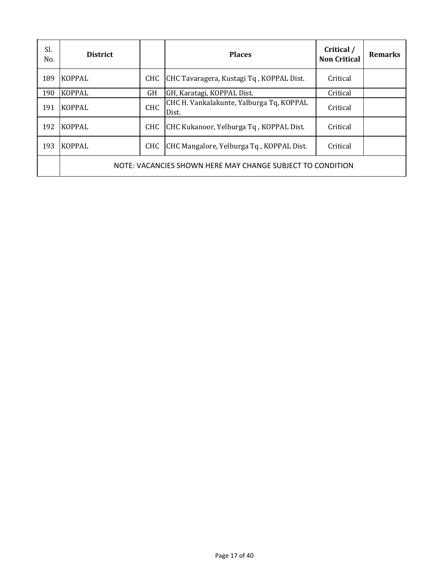| Sl.<br>No. | <b>District</b> |            | <b>Places</b>                                              | Critical /<br><b>Non Critical</b> | <b>Remarks</b> |
|------------|-----------------|------------|------------------------------------------------------------|-----------------------------------|----------------|
| 189        | <b>KOPPAL</b>   | CHC        | CHC Tavaragera, Kustagi Tq, KOPPAL Dist.                   | Critical                          |                |
| 190        | <b>KOPPAL</b>   | GH         | GH, Karatagi, KOPPAL Dist.                                 | Critical                          |                |
| 191        | <b>KOPPAL</b>   | <b>CHC</b> | CHC H. Vankalakunte, Yalburga Tq, KOPPAL<br>Dist.          | Critical                          |                |
| 192        | <b>KOPPAL</b>   | <b>CHC</b> | CHC Kukanoor, Yelburga Tq, KOPPAL Dist.                    | Critical                          |                |
| 193        | <b>KOPPAL</b>   | CHC        | CHC Mangalore, Yelburga Tq, KOPPAL Dist.                   | Critical                          |                |
|            |                 |            | NOTE: VACANCIES SHOWN HERE MAY CHANGE SUBJECT TO CONDITION |                                   |                |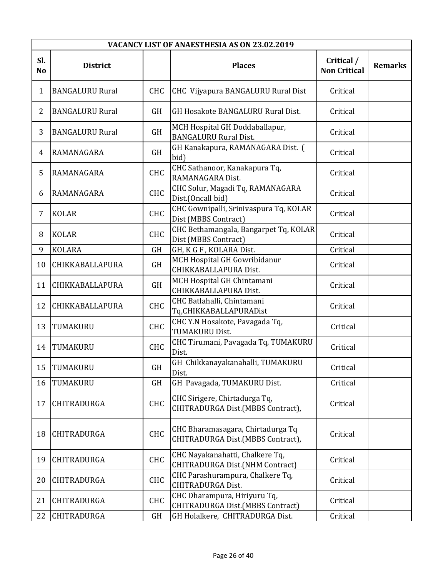|                       | VACANCY LIST OF ANAESTHESIA AS ON 23.02.2019 |            |                                                                        |                                   |                |  |
|-----------------------|----------------------------------------------|------------|------------------------------------------------------------------------|-----------------------------------|----------------|--|
| Sl.<br>N <sub>o</sub> | <b>District</b>                              |            | <b>Places</b>                                                          | Critical /<br><b>Non Critical</b> | <b>Remarks</b> |  |
| $\mathbf{1}$          | <b>BANGALURU Rural</b>                       | <b>CHC</b> | CHC Vijyapura BANGALURU Rural Dist                                     | Critical                          |                |  |
| $\overline{2}$        | <b>BANGALURU Rural</b>                       | <b>GH</b>  | GH Hosakote BANGALURU Rural Dist.                                      | Critical                          |                |  |
| 3                     | <b>BANGALURU Rural</b>                       | <b>GH</b>  | MCH Hospital GH Doddaballapur,<br><b>BANGALURU Rural Dist.</b>         | Critical                          |                |  |
| 4                     | RAMANAGARA                                   | GH         | GH Kanakapura, RAMANAGARA Dist. (<br>bid)                              | Critical                          |                |  |
| 5                     | RAMANAGARA                                   | <b>CHC</b> | CHC Sathanoor, Kanakapura Tq,<br>RAMANAGARA Dist.                      | Critical                          |                |  |
| 6                     | RAMANAGARA                                   | <b>CHC</b> | CHC Solur, Magadi Tq, RAMANAGARA<br>Dist.(Oncall bid)                  | Critical                          |                |  |
| 7                     | <b>KOLAR</b>                                 | <b>CHC</b> | CHC Gownipalli, Srinivaspura Tq, KOLAR<br>Dist (MBBS Contract)         | Critical                          |                |  |
| 8                     | <b>KOLAR</b>                                 | <b>CHC</b> | CHC Bethamangala, Bangarpet Tq, KOLAR<br>Dist (MBBS Contract)          | Critical                          |                |  |
| 9                     | <b>KOLARA</b>                                | <b>GH</b>  | GH, K G F, KOLARA Dist.                                                | Critical                          |                |  |
| 10                    | CHIKKABALLAPURA                              | <b>GH</b>  | MCH Hospital GH Gowribidanur<br>CHIKKABALLAPURA Dist.                  | Critical                          |                |  |
| 11                    | CHIKKABALLAPURA                              | GH         | MCH Hospital GH Chintamani<br>CHIKKABALLAPURA Dist.                    | Critical                          |                |  |
| 12                    | CHIKKABALLAPURA                              | <b>CHC</b> | CHC Batlahalli, Chintamani<br>Tq,CHIKKABALLAPURADist                   | Critical                          |                |  |
| 13                    | TUMAKURU                                     | <b>CHC</b> | CHC Y.N Hosakote, Pavagada Tq,<br><b>TUMAKURU Dist.</b>                | Critical                          |                |  |
| 14                    | TUMAKURU                                     | <b>CHC</b> | CHC Tirumani, Pavagada Tq, TUMAKURU<br>Dist.                           | Critical                          |                |  |
| 15                    | <b>TUMAKURU</b>                              | GH         | GH Chikkanayakanahalli, TUMAKURU<br>Dist.                              | Critical                          |                |  |
| 16                    | TUMAKURU                                     | <b>GH</b>  | GH Pavagada, TUMAKURU Dist.                                            | Critical                          |                |  |
| 17                    | CHITRADURGA                                  | <b>CHC</b> | CHC Sirigere, Chirtadurga Tq,<br>CHITRADURGA Dist.(MBBS Contract),     | Critical                          |                |  |
| 18                    | <b>CHITRADURGA</b>                           | CHC        | CHC Bharamasagara, Chirtadurga Tq<br>CHITRADURGA Dist.(MBBS Contract), | Critical                          |                |  |
| 19                    | <b>CHITRADURGA</b>                           | CHC        | CHC Nayakanahatti, Chalkere Tq,<br>CHITRADURGA Dist.(NHM Contract)     | Critical                          |                |  |
| 20                    | CHITRADURGA                                  | <b>CHC</b> | CHC Parashurampura, Chalkere Tq,<br><b>CHITRADURGA Dist.</b>           | Critical                          |                |  |
| 21                    | CHITRADURGA                                  | <b>CHC</b> | CHC Dharampura, Hiriyuru Tq,<br>CHITRADURGA Dist.(MBBS Contract)       | Critical                          |                |  |
| 22                    | <b>CHITRADURGA</b>                           | <b>GH</b>  | GH Holalkere, CHITRADURGA Dist.                                        | Critical                          |                |  |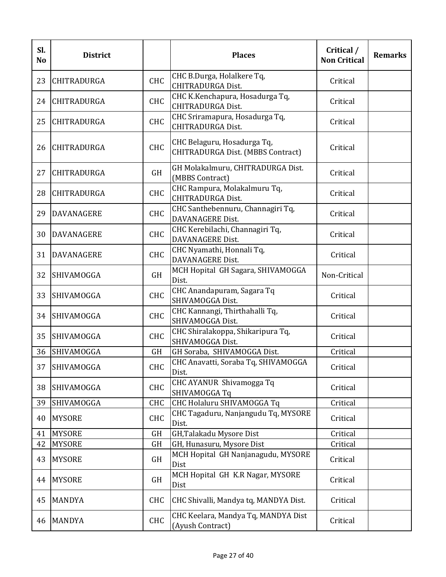| Sl.<br>N <sub>o</sub> | <b>District</b>    |            | <b>Places</b>                                                    | Critical /<br><b>Non Critical</b> | <b>Remarks</b> |
|-----------------------|--------------------|------------|------------------------------------------------------------------|-----------------------------------|----------------|
| 23                    | CHITRADURGA        | CHC        | CHC B.Durga, Holalkere Tq,<br><b>CHITRADURGA Dist.</b>           | Critical                          |                |
| 24                    | <b>CHITRADURGA</b> | <b>CHC</b> | CHC K.Kenchapura, Hosadurga Tq,<br><b>CHITRADURGA Dist.</b>      | Critical                          |                |
| 25                    | <b>CHITRADURGA</b> | <b>CHC</b> | CHC Sriramapura, Hosadurga Tq,<br><b>CHITRADURGA Dist.</b>       | Critical                          |                |
| 26                    | CHITRADURGA        | <b>CHC</b> | CHC Belaguru, Hosadurga Tq,<br>CHITRADURGA Dist. (MBBS Contract) | Critical                          |                |
| 27                    | <b>CHITRADURGA</b> | <b>GH</b>  | GH Molakalmuru, CHITRADURGA Dist.<br>(MBBS Contract)             | Critical                          |                |
| 28                    | <b>CHITRADURGA</b> | <b>CHC</b> | CHC Rampura, Molakalmuru Tq,<br><b>CHITRADURGA Dist.</b>         | Critical                          |                |
| 29                    | <b>DAVANAGERE</b>  | <b>CHC</b> | CHC Santhebennuru, Channagiri Tq,<br>DAVANAGERE Dist.            | Critical                          |                |
| 30                    | <b>DAVANAGERE</b>  | <b>CHC</b> | CHC Kerebilachi, Channagiri Tq,<br>DAVANAGERE Dist.              | Critical                          |                |
| 31                    | <b>DAVANAGERE</b>  | <b>CHC</b> | CHC Nyamathi, Honnali Tq,<br><b>DAVANAGERE Dist.</b>             | Critical                          |                |
| 32                    | SHIVAMOGGA         | <b>GH</b>  | MCH Hopital GH Sagara, SHIVAMOGGA<br>Dist.                       | Non-Critical                      |                |
| 33                    | SHIVAMOGGA         | <b>CHC</b> | CHC Anandapuram, Sagara Tq<br>SHIVAMOGGA Dist.                   | Critical                          |                |
| 34                    | SHIVAMOGGA         | <b>CHC</b> | CHC Kannangi, Thirthahalli Tq,<br>SHIVAMOGGA Dist.               | Critical                          |                |
| 35                    | <b>SHIVAMOGGA</b>  | <b>CHC</b> | CHC Shiralakoppa, Shikaripura Tq,<br>SHIVAMOGGA Dist.            | Critical                          |                |
| 36                    | SHIVAMOGGA         | <b>GH</b>  | GH Soraba, SHIVAMOGGA Dist.                                      | Critical                          |                |
| 37                    | SHIVAMOGGA         | CHC        | CHC Anavatti, Soraba Tq, SHIVAMOGGA<br>Dist.                     | Critical                          |                |
| 38                    | SHIVAMOGGA         | <b>CHC</b> | CHC AYANUR Shivamogga Tq<br>SHIVAMOGGA Tq                        | Critical                          |                |
| 39                    | SHIVAMOGGA         | <b>CHC</b> | CHC Holaluru SHIVAMOGGA Tq                                       | Critical                          |                |
| 40                    | <b>MYSORE</b>      | <b>CHC</b> | CHC Tagaduru, Nanjangudu Tq, MYSORE<br>Dist.                     | Critical                          |                |
| 41                    | <b>MYSORE</b>      | <b>GH</b>  | GH, Talakadu Mysore Dist                                         | Critical                          |                |
| 42                    | <b>MYSORE</b>      | <b>GH</b>  | GH, Hunasuru, Mysore Dist                                        | Critical                          |                |
| 43                    | <b>MYSORE</b>      | <b>GH</b>  | MCH Hopital GH Nanjanagudu, MYSORE<br>Dist                       | Critical                          |                |
| 44                    | <b>MYSORE</b>      | GH         | MCH Hopital GH K.R Nagar, MYSORE<br>Dist                         | Critical                          |                |
| 45                    | <b>MANDYA</b>      | <b>CHC</b> | CHC Shivalli, Mandya tq, MANDYA Dist.                            | Critical                          |                |
| 46                    | <b>MANDYA</b>      | CHC        | CHC Keelara, Mandya Tq, MANDYA Dist<br>(Ayush Contract)          | Critical                          |                |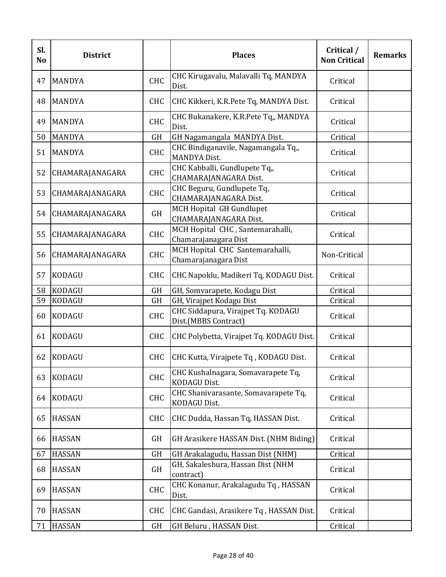| Sl.<br><b>No</b> | <b>District</b> |            | <b>Places</b>                                              | Critical /<br><b>Non Critical</b> | <b>Remarks</b> |
|------------------|-----------------|------------|------------------------------------------------------------|-----------------------------------|----------------|
| 47               | <b>MANDYA</b>   | <b>CHC</b> | CHC Kirugavalu, Malavalli Tq, MANDYA<br>Dist.              | Critical                          |                |
| 48               | <b>MANDYA</b>   | <b>CHC</b> | CHC Kikkeri, K.R.Pete Tq, MANDYA Dist.                     | Critical                          |                |
| 49               | <b>MANDYA</b>   | <b>CHC</b> | CHC Bukanakere, K.R.Pete Tq,, MANDYA<br>Dist.              | Critical                          |                |
| 50               | <b>MANDYA</b>   | GH         | GH Nagamangala MANDYA Dist.                                | Critical                          |                |
| 51               | <b>MANDYA</b>   | <b>CHC</b> | CHC Bindiganavile, Nagamangala Tq,,<br><b>MANDYA Dist.</b> | Critical                          |                |
| 52               | CHAMARAJANAGARA | <b>CHC</b> | CHC Kabballi, Gundlupete Tq,,<br>CHAMARAJANAGARA Dist.     | Critical                          |                |
| 53               | CHAMARAJANAGARA | <b>CHC</b> | CHC Beguru, Gundlupete Tq,<br>CHAMARAJANAGARA Dist.        | Critical                          |                |
| 54               | CHAMARAJANAGARA | GH         | <b>MCH Hopital GH Gundlupet</b><br>CHAMARAJANAGARA Dist.   | Critical                          |                |
| 55               | CHAMARAJANAGARA | <b>CHC</b> | MCH Hopital CHC, Santemarahalli,<br>Chamarajanagara Dist   | Critical                          |                |
| 56               | CHAMARAJANAGARA | <b>CHC</b> | MCH Hopital CHC Santemarahalli,<br>Chamarajanagara Dist    | Non-Critical                      |                |
| 57               | <b>KODAGU</b>   | <b>CHC</b> | CHC Napoklu, Madikeri Tq, KODAGU Dist.                     | Critical                          |                |
| 58               | <b>KODAGU</b>   | <b>GH</b>  | GH, Somvarapete, Kodagu Dist                               | Critical                          |                |
| 59               | <b>KODAGU</b>   | <b>GH</b>  | GH, Virajpet Kodagu Dist                                   | Critical                          |                |
| 60               | <b>KODAGU</b>   | <b>CHC</b> | CHC Siddapura, Virajpet Tq. KODAGU<br>Dist.(MBBS Contract) | Critical                          |                |
| 61               | <b>KODAGU</b>   | <b>CHC</b> | CHC Polybetta, Virajpet Tq. KODAGU Dist.                   | Critical                          |                |
| 62               | <b>KODAGU</b>   | <b>CHC</b> | CHC Kutta, Virajpete Tq, KODAGU Dist.                      | Critical                          |                |
| 63               | <b>KODAGU</b>   | <b>CHC</b> | CHC Kushalnagara, Somavarapete Tq,<br>KODAGU Dist.         | Critical                          |                |
| 64               | <b>KODAGU</b>   | CHC        | CHC Shanivarasante, Somavarapete Tq,<br>KODAGU Dist.       | Critical                          |                |
| 65               | <b>HASSAN</b>   | <b>CHC</b> | CHC Dudda, Hassan Tq, HASSAN Dist.                         | Critical                          |                |
| 66               | <b>HASSAN</b>   | <b>GH</b>  | GH Arasikere HASSAN Dist. (NHM Biding)                     | Critical                          |                |
| 67               | <b>HASSAN</b>   | <b>GH</b>  | GH Arakalagudu, Hassan Dist (NHM)                          | Critical                          |                |
| 68               | <b>HASSAN</b>   | GH         | GH, Sakaleshura, Hassan Dist (NHM<br>contract)             | Critical                          |                |
| 69               | <b>HASSAN</b>   | CHC        | CHC Konanur, Arakalagudu Tq, HASSAN<br>Dist.               | Critical                          |                |
| 70               | <b>HASSAN</b>   | <b>CHC</b> | CHC Gandasi, Arasikere Tq, HASSAN Dist.                    | Critical                          |                |
| 71               | <b>HASSAN</b>   | GH         | GH Beluru, HASSAN Dist.                                    | Critical                          |                |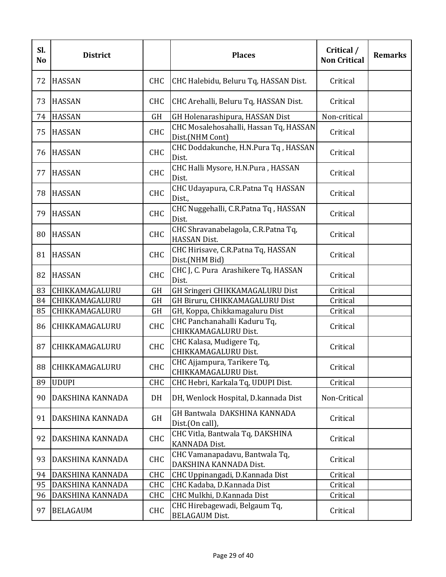| Sl.<br>N <sub>o</sub> | <b>District</b>  |            | <b>Places</b>                                              | Critical /<br><b>Non Critical</b> | <b>Remarks</b> |
|-----------------------|------------------|------------|------------------------------------------------------------|-----------------------------------|----------------|
| 72                    | <b>HASSAN</b>    | <b>CHC</b> | CHC Halebidu, Beluru Tq, HASSAN Dist.                      | Critical                          |                |
| 73                    | <b>HASSAN</b>    | <b>CHC</b> | CHC Arehalli, Beluru Tq, HASSAN Dist.                      | Critical                          |                |
| 74                    | <b>HASSAN</b>    | <b>GH</b>  | GH Holenarashipura, HASSAN Dist                            | Non-critical                      |                |
| 75                    | <b>HASSAN</b>    | <b>CHC</b> | CHC Mosalehosahalli, Hassan Tq, HASSAN<br>Dist.(NHM Cont)  | Critical                          |                |
| 76                    | <b>HASSAN</b>    | <b>CHC</b> | CHC Doddakunche, H.N.Pura Tq, HASSAN<br>Dist.              | Critical                          |                |
| 77                    | <b>HASSAN</b>    | <b>CHC</b> | CHC Halli Mysore, H.N.Pura, HASSAN<br>Dist.                | Critical                          |                |
| 78                    | <b>HASSAN</b>    | <b>CHC</b> | CHC Udayapura, C.R.Patna Tq HASSAN<br>Dist.,               | Critical                          |                |
| 79                    | <b>HASSAN</b>    | <b>CHC</b> | CHC Nuggehalli, C.R.Patna Tq, HASSAN<br>Dist.              | Critical                          |                |
| 80                    | <b>HASSAN</b>    | <b>CHC</b> | CHC Shravanabelagola, C.R.Patna Tq,<br><b>HASSAN Dist.</b> | Critical                          |                |
| 81                    | <b>HASSAN</b>    | <b>CHC</b> | CHC Hirisave, C.R.Patna Tq, HASSAN<br>Dist.(NHM Bid)       | Critical                          |                |
| 82                    | <b>HASSAN</b>    | <b>CHC</b> | CHC J, C. Pura Arashikere Tq, HASSAN<br>Dist.              | Critical                          |                |
| 83                    | CHIKKAMAGALURU   | <b>GH</b>  | GH Sringeri CHIKKAMAGALURU Dist                            | Critical                          |                |
| 84                    | CHIKKAMAGALURU   | <b>GH</b>  | GH Biruru, CHIKKAMAGALURU Dist                             | Critical                          |                |
| 85                    | CHIKKAMAGALURU   | <b>GH</b>  | GH, Koppa, Chikkamagaluru Dist                             | Critical                          |                |
| 86                    | CHIKKAMAGALURU   | <b>CHC</b> | CHC Panchanahalli Kaduru Tq,<br>CHIKKAMAGALURU Dist.       | Critical                          |                |
| 87                    | CHIKKAMAGALURU   | <b>CHC</b> | CHC Kalasa, Mudigere Tq,<br>CHIKKAMAGALURU Dist.           | Critical                          |                |
| 88                    | CHIKKAMAGALURU   | CHC        | CHC Ajjampura, Tarikere Tq,<br>CHIKKAMAGALURU Dist.        | Critical                          |                |
| 89                    | <b>UDUPI</b>     | <b>CHC</b> | CHC Hebri, Karkala Tq, UDUPI Dist.                         | Critical                          |                |
| 90                    | DAKSHINA KANNADA | DH         | DH, Wenlock Hospital, D.kannada Dist                       | Non-Critical                      |                |
| 91                    | DAKSHINA KANNADA | <b>GH</b>  | GH Bantwala DAKSHINA KANNADA<br>Dist.(On call),            | Critical                          |                |
| 92                    | DAKSHINA KANNADA | <b>CHC</b> | CHC Vitla, Bantwala Tq, DAKSHINA<br><b>KANNADA Dist.</b>   | Critical                          |                |
| 93                    | DAKSHINA KANNADA | CHC        | CHC Vamanapadavu, Bantwala Tq,<br>DAKSHINA KANNADA Dist.   | Critical                          |                |
| 94                    | DAKSHINA KANNADA | CHC        | CHC Uppinangadi, D.Kannada Dist                            | Critical                          |                |
| 95                    | DAKSHINA KANNADA | CHC        | CHC Kadaba, D.Kannada Dist                                 | Critical                          |                |
| 96                    | DAKSHINA KANNADA | CHC        | CHC Mulkhi, D.Kannada Dist                                 | Critical                          |                |
| 97                    | <b>BELAGAUM</b>  | <b>CHC</b> | CHC Hirebagewadi, Belgaum Tq,<br><b>BELAGAUM Dist.</b>     | Critical                          |                |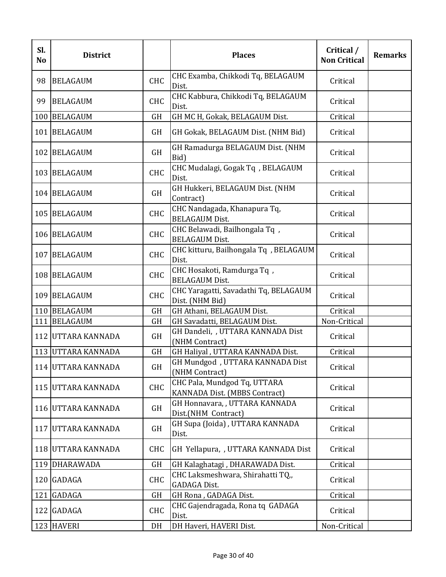| Sl.<br>N <sub>o</sub> | <b>District</b>     |            | <b>Places</b>                                                 | Critical /<br><b>Non Critical</b> | <b>Remarks</b> |
|-----------------------|---------------------|------------|---------------------------------------------------------------|-----------------------------------|----------------|
| 98                    | <b>BELAGAUM</b>     | CHC        | CHC Examba, Chikkodi Tq, BELAGAUM<br>Dist.                    | Critical                          |                |
| 99                    | <b>BELAGAUM</b>     | <b>CHC</b> | CHC Kabbura, Chikkodi Tq, BELAGAUM<br>Dist.                   | Critical                          |                |
|                       | 100 BELAGAUM        | <b>GH</b>  | GH MC H, Gokak, BELAGAUM Dist.                                | Critical                          |                |
|                       | 101   BELAGAUM      | <b>GH</b>  | GH Gokak, BELAGAUM Dist. (NHM Bid)                            | Critical                          |                |
|                       | 102 BELAGAUM        | <b>GH</b>  | GH Ramadurga BELAGAUM Dist. (NHM<br>Bid)                      | Critical                          |                |
|                       | 103 BELAGAUM        | <b>CHC</b> | CHC Mudalagi, Gogak Tq, BELAGAUM<br>Dist.                     | Critical                          |                |
|                       | 104 BELAGAUM        | <b>GH</b>  | GH Hukkeri, BELAGAUM Dist. (NHM<br>Contract)                  | Critical                          |                |
|                       | 105 BELAGAUM        | <b>CHC</b> | CHC Nandagada, Khanapura Tq,<br><b>BELAGAUM Dist.</b>         | Critical                          |                |
|                       | 106 BELAGAUM        | <b>CHC</b> | CHC Belawadi, Bailhongala Tq,<br><b>BELAGAUM Dist.</b>        | Critical                          |                |
| 107                   | <b>BELAGAUM</b>     | <b>CHC</b> | CHC kitturu, Bailhongala Tq, BELAGAUM<br>Dist.                | Critical                          |                |
|                       | 108 BELAGAUM        | <b>CHC</b> | CHC Hosakoti, Ramdurga Tq,<br><b>BELAGAUM Dist.</b>           | Critical                          |                |
|                       | 109 BELAGAUM        | <b>CHC</b> | CHC Yaragatti, Savadathi Tq, BELAGAUM<br>Dist. (NHM Bid)      | Critical                          |                |
|                       | 110 BELAGAUM        | <b>GH</b>  | GH Athani, BELAGAUM Dist.                                     | Critical                          |                |
|                       | 111 BELAGAUM        | <b>GH</b>  | GH Savadatti, BELAGAUM Dist.                                  | Non-Critical                      |                |
|                       | 112 UTTARA KANNADA  | <b>GH</b>  | GH Dandeli, , UTTARA KANNADA Dist<br>(NHM Contract)           | Critical                          |                |
|                       | 113 UTTARA KANNADA  | <b>GH</b>  | GH Haliyal, UTTARA KANNADA Dist.                              | Critical                          |                |
|                       | 114 UTTARA KANNADA  | GH         | GH Mundgod, UTTARA KANNADA Dist<br>(NHM Contract)             | Critical                          |                |
|                       | 115 JUTTARA KANNADA | <b>CHC</b> | CHC Pala, Mundgod Tq, UTTARA<br>KANNADA Dist. (MBBS Contract) | Critical                          |                |
|                       | 116 UTTARA KANNADA  | <b>GH</b>  | GH Honnavara, , UTTARA KANNADA<br>Dist.(NHM Contract)         | Critical                          |                |
|                       | 117 JUTTARA KANNADA | <b>GH</b>  | GH Supa (Joida), UTTARA KANNADA<br>Dist.                      | Critical                          |                |
|                       | 118 UTTARA KANNADA  | CHC        | GH Yellapura, , UTTARA KANNADA Dist                           | Critical                          |                |
|                       | 119 DHARAWADA       | <b>GH</b>  | GH Kalaghatagi, DHARAWADA Dist.                               | Critical                          |                |
|                       | 120 GADAGA          | <b>CHC</b> | CHC Laksmeshwara, Shirahatti TQ,<br><b>GADAGA Dist.</b>       | Critical                          |                |
| 121                   | <b>GADAGA</b>       | GH         | GH Rona, GADAGA Dist.                                         | Critical                          |                |
|                       | 122 GADAGA          | <b>CHC</b> | CHC Gajendragada, Rona tq GADAGA<br>Dist.                     | Critical                          |                |
|                       | 123 HAVERI          | DH         | DH Haveri, HAVERI Dist.                                       | Non-Critical                      |                |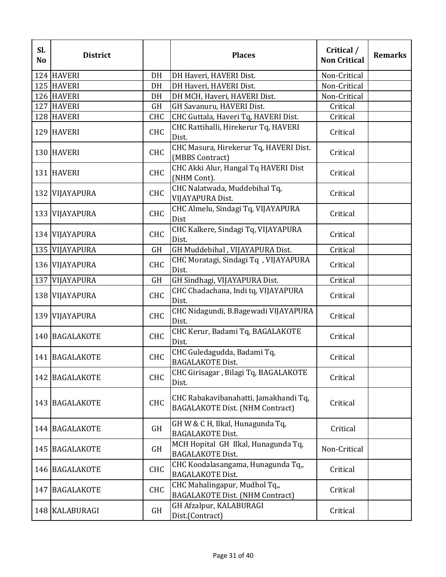| Sl.<br>N <sub>o</sub> | <b>District</b> |            | <b>Places</b>                                                                   | Critical /<br><b>Non Critical</b> | <b>Remarks</b> |
|-----------------------|-----------------|------------|---------------------------------------------------------------------------------|-----------------------------------|----------------|
|                       | 124 HAVERI      | DH         | DH Haveri, HAVERI Dist.                                                         | Non-Critical                      |                |
|                       | 125 HAVERI      | DH         | DH Haveri, HAVERI Dist.                                                         | Non-Critical                      |                |
|                       | 126 HAVERI      | DH         | DH MCH, Haveri, HAVERI Dist.                                                    | Non-Critical                      |                |
|                       | 127 HAVERI      | <b>GH</b>  | GH Savanuru, HAVERI Dist.                                                       | Critical                          |                |
|                       | 128 HAVERI      | CHC        | CHC Guttala, Haveri Tq, HAVERI Dist.                                            | Critical                          |                |
|                       | 129 HAVERI      | <b>CHC</b> | CHC Rattihalli, Hirekerur Tq, HAVERI<br>Dist.                                   | Critical                          |                |
|                       | 130 HAVERI      | CHC        | CHC Masura, Hirekerur Tq, HAVERI Dist.<br>(MBBS Contract)                       | Critical                          |                |
|                       | 131 HAVERI      | <b>CHC</b> | CHC Akki Alur, Hangal Tq HAVERI Dist<br>(NHM Cont).                             | Critical                          |                |
|                       | 132 VIJAYAPURA  | CHC        | CHC Nalatwada, Muddebihal Tq,<br>VIJAYAPURA Dist.                               | Critical                          |                |
|                       | 133 VIJAYAPURA  | <b>CHC</b> | CHC Almelu, Sindagi Tq, VIJAYAPURA<br>Dist                                      | Critical                          |                |
|                       | 134 VIJAYAPURA  | <b>CHC</b> | CHC Kalkere, Sindagi Tq, VIJAYAPURA<br>Dist.                                    | Critical                          |                |
|                       | 135 VIJAYAPURA  | <b>GH</b>  | GH Muddebihal, VIJAYAPURA Dist.                                                 | Critical                          |                |
|                       | 136 VIJAYAPURA  | <b>CHC</b> | CHC Moratagi, Sindagi Tq , VIJAYAPURA<br>Dist.                                  | Critical                          |                |
|                       | 137 VIJAYAPURA  | <b>GH</b>  | GH Sindhagi, VIJAYAPURA Dist.                                                   | Critical                          |                |
|                       | 138 VIJAYAPURA  | <b>CHC</b> | CHC Chadachana, Indi tq, VIJAYAPURA<br>Dist.                                    | Critical                          |                |
|                       | 139 VIJAYAPURA  | <b>CHC</b> | CHC Nidagundi, B.Bagewadi VIJAYAPURA<br>Dist.                                   | Critical                          |                |
|                       | 140 BAGALAKOTE  | <b>CHC</b> | CHC Kerur, Badami Tq, BAGALAKOTE<br>Dist.                                       | Critical                          |                |
|                       | 141 BAGALAKOTE  | <b>CHC</b> | CHC Guledagudda, Badami Tq,<br><b>BAGALAKOTE Dist.</b>                          | Critical                          |                |
|                       | 142 BAGALAKOTE  | <b>CHC</b> | CHC Girisagar, Bilagi Tq, BAGALAKOTE<br>Dist.                                   | Critical                          |                |
|                       | 143 BAGALAKOTE  | <b>CHC</b> | CHC Rabakavibanahatti, Jamakhandi Tq,<br><b>BAGALAKOTE Dist. (NHM Contract)</b> | Critical                          |                |
|                       | 144 BAGALAKOTE  | <b>GH</b>  | GH W & C H, Ilkal, Hunagunda Tq,<br><b>BAGALAKOTE Dist.</b>                     | Critical                          |                |
|                       | 145 BAGALAKOTE  | <b>GH</b>  | MCH Hopital GH Ilkal, Hunagunda Tq,<br><b>BAGALAKOTE Dist.</b>                  | Non-Critical                      |                |
|                       | 146 BAGALAKOTE  | <b>CHC</b> | CHC Koodalasangama, Hunagunda Tq,,<br><b>BAGALAKOTE Dist.</b>                   | Critical                          |                |
|                       | 147 BAGALAKOTE  | <b>CHC</b> | CHC Mahalingapur, Mudhol Tq,,<br><b>BAGALAKOTE Dist. (NHM Contract)</b>         | Critical                          |                |
|                       | 148 KALABURAGI  | <b>GH</b>  | GH Afzalpur, KALABURAGI<br>Dist.(Contract)                                      | Critical                          |                |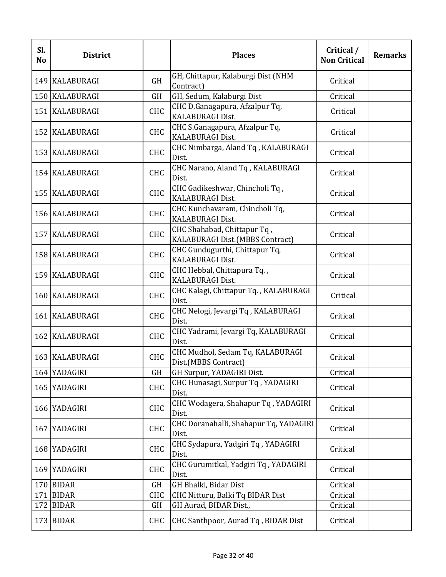| Sl.<br>N <sub>o</sub> | <b>District</b>  |            | <b>Places</b>                                                  | Critical /<br><b>Non Critical</b> | <b>Remarks</b> |
|-----------------------|------------------|------------|----------------------------------------------------------------|-----------------------------------|----------------|
|                       | 149   KALABURAGI | <b>GH</b>  | GH, Chittapur, Kalaburgi Dist (NHM<br>Contract)                | Critical                          |                |
|                       | 150 KALABURAGI   | <b>GH</b>  | GH, Sedum, Kalaburgi Dist                                      | Critical                          |                |
|                       | 151 KALABURAGI   | <b>CHC</b> | CHC D.Ganagapura, Afzalpur Tq,<br>KALABURAGI Dist.             | Critical                          |                |
|                       | 152 KALABURAGI   | <b>CHC</b> | CHC S.Ganagapura, Afzalpur Tq,<br><b>KALABURAGI Dist.</b>      | Critical                          |                |
|                       | 153 KALABURAGI   | <b>CHC</b> | CHC Nimbarga, Aland Tq, KALABURAGI<br>Dist.                    | Critical                          |                |
|                       | 154 KALABURAGI   | <b>CHC</b> | CHC Narano, Aland Tq, KALABURAGI<br>Dist.                      | Critical                          |                |
|                       | 155 KALABURAGI   | <b>CHC</b> | CHC Gadikeshwar, Chincholi Tq,<br><b>KALABURAGI Dist.</b>      | Critical                          |                |
|                       | 156 KALABURAGI   | <b>CHC</b> | CHC Kunchavaram, Chincholi Tq,<br>KALABURAGI Dist.             | Critical                          |                |
|                       | 157 KALABURAGI   | <b>CHC</b> | CHC Shahabad, Chittapur Tq,<br>KALABURAGI Dist.(MBBS Contract) | Critical                          |                |
|                       | 158 KALABURAGI   | <b>CHC</b> | CHC Gundugurthi, Chittapur Tq,<br>KALABURAGI Dist.             | Critical                          |                |
|                       | 159 KALABURAGI   | <b>CHC</b> | CHC Hebbal, Chittapura Tq.,<br>KALABURAGI Dist.                | Critical                          |                |
|                       | 160 KALABURAGI   | <b>CHC</b> | CHC Kalagi, Chittapur Tq., KALABURAGI<br>Dist.                 | Critical                          |                |
|                       | 161 KALABURAGI   | <b>CHC</b> | CHC Nelogi, Jevargi Tq, KALABURAGI<br>Dist.                    | Critical                          |                |
|                       | 162 KALABURAGI   | <b>CHC</b> | CHC Yadrami, Jevargi Tq, KALABURAGI<br>Dist.                   | Critical                          |                |
|                       | 163 KALABURAGI   | <b>CHC</b> | CHC Mudhol, Sedam Tq, KALABURAGI<br>Dist.(MBBS Contract)       | Critical                          |                |
|                       | 164 YADAGIRI     | <b>GH</b>  | GH Surpur, YADAGIRI Dist.                                      | Critical                          |                |
|                       | 165 YADAGIRI     | <b>CHC</b> | CHC Hunasagi, Surpur Tq, YADAGIRI<br>Dist.                     | Critical                          |                |
|                       | 166 YADAGIRI     | <b>CHC</b> | CHC Wodagera, Shahapur Tq, YADAGIRI<br>Dist.                   | Critical                          |                |
|                       | 167 YADAGIRI     | <b>CHC</b> | CHC Doranahalli, Shahapur Tq, YADAGIRI<br>Dist.                | Critical                          |                |
|                       | 168 YADAGIRI     | <b>CHC</b> | CHC Sydapura, Yadgiri Tq, YADAGIRI<br>Dist.                    | Critical                          |                |
|                       | 169 YADAGIRI     | <b>CHC</b> | CHC Gurumitkal, Yadgiri Tq, YADAGIRI<br>Dist.                  | Critical                          |                |
|                       | 170 BIDAR        | <b>GH</b>  | GH Bhalki, Bidar Dist                                          | Critical                          |                |
|                       | 171 BIDAR        | <b>CHC</b> | CHC Nitturu, Balki Tq BIDAR Dist                               | Critical                          |                |
|                       | 172 BIDAR        | GH         | GH Aurad, BIDAR Dist.,                                         | Critical                          |                |
|                       | 173 BIDAR        | <b>CHC</b> | CHC Santhpoor, Aurad Tq, BIDAR Dist                            | Critical                          |                |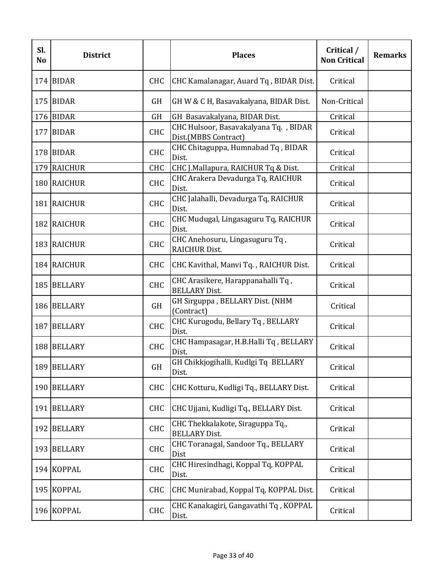| Sl.<br>N <sub>o</sub> | <b>District</b> |            | <b>Places</b>                                                 | Critical /<br><b>Non Critical</b> | <b>Remarks</b> |
|-----------------------|-----------------|------------|---------------------------------------------------------------|-----------------------------------|----------------|
|                       | 174 BIDAR       | <b>CHC</b> | CHC Kamalanagar, Auard Tq, BIDAR Dist.                        | Critical                          |                |
|                       | 175 BIDAR       | <b>GH</b>  | GH W & C H, Basavakalyana, BIDAR Dist.                        | Non-Critical                      |                |
|                       | 176 BIDAR       | <b>GH</b>  | GH Basavakalyana, BIDAR Dist.                                 | Critical                          |                |
|                       | 177 BIDAR       | <b>CHC</b> | CHC Hulsoor, Basavakalyana Tq., BIDAR<br>Dist.(MBBS Contract) | Critical                          |                |
|                       | 178 BIDAR       | <b>CHC</b> | CHC Chitaguppa, Humnabad Tq, BIDAR<br>Dist.                   | Critical                          |                |
|                       | 179 RAICHUR     | <b>CHC</b> | CHC J.Mallapura, RAICHUR Tq & Dist.                           | Critical                          |                |
|                       | 180 RAICHUR     | <b>CHC</b> | CHC Arakera Devadurga Tq, RAICHUR<br>Dist.                    | Critical                          |                |
|                       | 181 RAICHUR     | <b>CHC</b> | CHC Jalahalli, Devadurga Tq, RAICHUR<br>Dist.                 | Critical                          |                |
|                       | 182 RAICHUR     | <b>CHC</b> | CHC Mudugal, Lingasaguru Tq, RAICHUR<br>Dist.                 | Critical                          |                |
|                       | 183 RAICHUR     | <b>CHC</b> | CHC Anehosuru, Lingasuguru Tq,<br><b>RAICHUR Dist.</b>        | Critical                          |                |
|                       | 184 RAICHUR     | <b>CHC</b> | CHC Kavithal, Manvi Tq., RAICHUR Dist.                        | Critical                          |                |
|                       | 185 BELLARY     | <b>CHC</b> | CHC Arasikere, Harappanahalli Tq,<br><b>BELLARY Dist.</b>     | Critical                          |                |
|                       | 186 BELLARY     | <b>GH</b>  | GH Sirguppa, BELLARY Dist. (NHM<br>(Contract)                 | Critical                          |                |
|                       | 187 BELLARY     | <b>CHC</b> | CHC Kurugodu, Bellary Tq, BELLARY<br>Dist.                    | Critical                          |                |
|                       | 188 BELLARY     | <b>CHC</b> | CHC Hampasagar, H.B.Halli Tq, BELLARY<br>Dist.                | Critical                          |                |
|                       | 189 BELLARY     | GH         | GH Chikkjogihalli, Kudlgi Tq BELLARY<br>Dist.                 | Critical                          |                |
|                       | 190 BELLARY     | <b>CHC</b> | CHC Kotturu, Kudligi Tq., BELLARY Dist.                       | Critical                          |                |
| 191                   | <b>BELLARY</b>  | <b>CHC</b> | CHC Ujjani, Kudligi Tq., BELLARY Dist.                        | Critical                          |                |
|                       | 192 BELLARY     | <b>CHC</b> | CHC Thekkalakote, Siraguppa Tq.,<br><b>BELLARY Dist.</b>      | Critical                          |                |
|                       | 193 BELLARY     | <b>CHC</b> | CHC Toranagal, Sandoor Tq., BELLARY<br>Dist                   | Critical                          |                |
|                       | 194 KOPPAL      | <b>CHC</b> | CHC Hiresindhagi, Koppal Tq, KOPPAL<br>Dist.                  | Critical                          |                |
|                       | 195 KOPPAL      | <b>CHC</b> | CHC Munirabad, Koppal Tq, KOPPAL Dist.                        | Critical                          |                |
|                       | 196 KOPPAL      | <b>CHC</b> | CHC Kanakagiri, Gangavathi Tq, KOPPAL<br>Dist.                | Critical                          |                |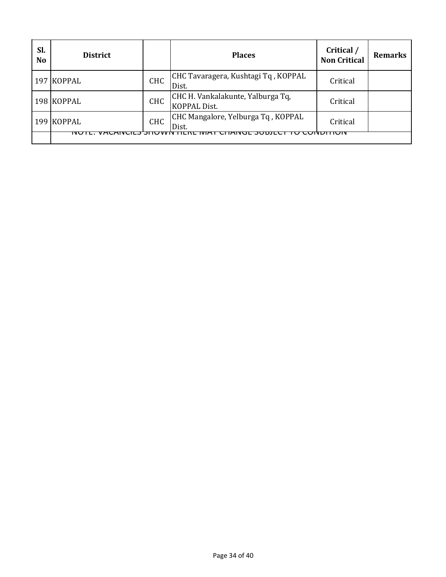| Sl.<br><b>No</b> | <b>District</b> |            | <b>Places</b>                                            | Critical /<br><b>Non Critical</b> | <b>Remarks</b> |
|------------------|-----------------|------------|----------------------------------------------------------|-----------------------------------|----------------|
|                  | 197 KOPPAL      | <b>CHC</b> | CHC Tavaragera, Kushtagi Tq, KOPPAL<br>Dist.             | Critical                          |                |
|                  | 198 KOPPAL      | <b>CHC</b> | CHC H. Vankalakunte, Yalburga Tq,<br><b>KOPPAL Dist.</b> | Critical                          |                |
|                  | 199 KOPPAL      | <b>CHC</b> | CHC Mangalore, Yelburga Tq, KOPPAL<br>Dist.              | Critical                          |                |
|                  | NU              |            |                                                          |                                   |                |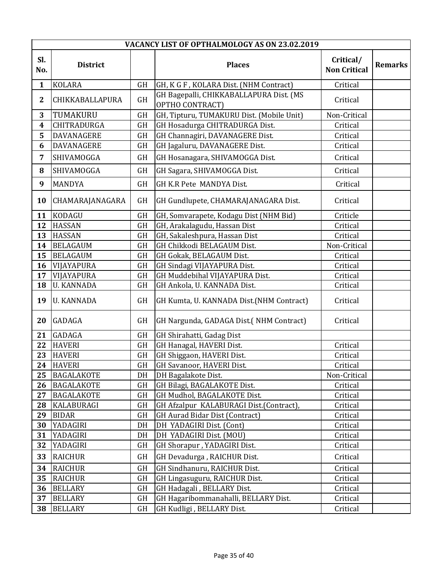|                  | VACANCY LIST OF OPTHALMOLOGY AS ON 23.02.2019 |           |                                                            |                                  |                |  |  |
|------------------|-----------------------------------------------|-----------|------------------------------------------------------------|----------------------------------|----------------|--|--|
| SI.<br>No.       | <b>District</b>                               |           | <b>Places</b>                                              | Critical/<br><b>Non Critical</b> | <b>Remarks</b> |  |  |
| $\mathbf{1}$     | <b>KOLARA</b>                                 | GH        | GH, K G F, KOLARA Dist. (NHM Contract)                     | Critical                         |                |  |  |
| $\mathbf{2}$     | CHIKKABALLAPURA                               | <b>GH</b> | GH Bagepalli, CHIKKABALLAPURA Dist. (MS<br>OPTHO CONTRACT) | Critical                         |                |  |  |
| 3                | TUMAKURU                                      | <b>GH</b> | GH, Tipturu, TUMAKURU Dist. (Mobile Unit)                  | Non-Critical                     |                |  |  |
| $\boldsymbol{4}$ | CHITRADURGA                                   | GH        | GH Hosadurga CHITRADURGA Dist.                             | Critical                         |                |  |  |
| 5                | <b>DAVANAGERE</b>                             | <b>GH</b> | GH Channagiri, DAVANAGERE Dist.                            | Critical                         |                |  |  |
| 6                | DAVANAGERE                                    | <b>GH</b> | GH Jagaluru, DAVANAGERE Dist.                              | Critical                         |                |  |  |
| 7                | SHIVAMOGGA                                    | <b>GH</b> | GH Hosanagara, SHIVAMOGGA Dist.                            | Critical                         |                |  |  |
| 8                | SHIVAMOGGA                                    | <b>GH</b> | GH Sagara, SHIVAMOGGA Dist.                                | Critical                         |                |  |  |
| 9                | <b>MANDYA</b>                                 | <b>GH</b> | GH K.R Pete MANDYA Dist.                                   | Critical                         |                |  |  |
| 10               | CHAMARAJANAGARA                               | <b>GH</b> | GH Gundlupete, CHAMARAJANAGARA Dist.                       | Critical                         |                |  |  |
| 11               | KODAGU                                        | <b>GH</b> | GH, Somvarapete, Kodagu Dist (NHM Bid)                     | Criticle                         |                |  |  |
| 12               | <b>HASSAN</b>                                 | GH        | GH, Arakalagudu, Hassan Dist                               | Critical                         |                |  |  |
| 13               | <b>HASSAN</b>                                 | <b>GH</b> | GH, Sakaleshpura, Hassan Dist                              | Critical                         |                |  |  |
| 14               | <b>BELAGAUM</b>                               | <b>GH</b> | GH Chikkodi BELAGAUM Dist.                                 | Non-Critical                     |                |  |  |
| 15               | <b>BELAGAUM</b>                               | <b>GH</b> | GH Gokak, BELAGAUM Dist.                                   | Critical                         |                |  |  |
| 16               | VIJAYAPURA                                    | <b>GH</b> | GH Sindagi VIJAYAPURA Dist.                                | Critical                         |                |  |  |
| 17               | VIJAYAPURA                                    | <b>GH</b> | GH Muddebihal VIJAYAPURA Dist.                             | Critical                         |                |  |  |
| 18               | <b>U. KANNADA</b>                             | <b>GH</b> | GH Ankola, U. KANNADA Dist.                                | Critical                         |                |  |  |
| 19               | <b>U. KANNADA</b>                             | GH        | GH Kumta, U. KANNADA Dist.(NHM Contract)                   | Critical                         |                |  |  |
| 20               | <b>GADAGA</b>                                 | <b>GH</b> | GH Nargunda, GADAGA Dist.(NHM Contract)                    | Critical                         |                |  |  |
| 21               | GADAGA                                        | GH        | GH Shirahatti, Gadag Dist                                  |                                  |                |  |  |
| 22               | <b>HAVERI</b>                                 | GH        | GH Hanagal, HAVERI Dist.                                   | Critical                         |                |  |  |
| 23               | <b>HAVERI</b>                                 | <b>GH</b> | GH Shiggaon, HAVERI Dist.                                  | Critical                         |                |  |  |
| 24               | <b>HAVERI</b>                                 | GH        | GH Savanoor, HAVERI Dist.                                  | Critical                         |                |  |  |
| 25               | <b>BAGALAKOTE</b>                             | DH        | DH Bagalakote Dist.                                        | Non-Critical                     |                |  |  |
| 26               | <b>BAGALAKOTE</b>                             | GH        | GH Bilagi, BAGALAKOTE Dist.                                | Critical                         |                |  |  |
| 27               | <b>BAGALAKOTE</b>                             | <b>GH</b> | GH Mudhol, BAGALAKOTE Dist.                                | Critical                         |                |  |  |
| 28               | <b>KALABURAGI</b>                             | GH        | GH Afzalpur KALABURAGI Dist.(Contract),                    | Critical                         |                |  |  |
| 29               | <b>BIDAR</b>                                  | <b>GH</b> | <b>GH Aurad Bidar Dist (Contract)</b>                      | Critical                         |                |  |  |
| 30               | YADAGIRI                                      | DH        | DH YADAGIRI Dist. (Cont)                                   | Critical                         |                |  |  |
| 31               | YADAGIRI                                      | DH        | DH YADAGIRI Dist. (MOU)                                    | Critical                         |                |  |  |
| 32               | YADAGIRI                                      | GH        | GH Shorapur, YADAGIRI Dist.                                | Critical                         |                |  |  |
| 33               | <b>RAICHUR</b>                                | GH        | GH Devadurga, RAICHUR Dist.                                | Critical                         |                |  |  |
| 34               | <b>RAICHUR</b>                                | <b>GH</b> | GH Sindhanuru, RAICHUR Dist.                               | Critical                         |                |  |  |
| 35               | <b>RAICHUR</b>                                | <b>GH</b> | GH Lingasuguru, RAICHUR Dist.                              | Critical                         |                |  |  |
| 36               | <b>BELLARY</b>                                | GH        | GH Hadagali, BELLARY Dist.                                 | Critical                         |                |  |  |
| 37               | <b>BELLARY</b>                                | GH        | GH Hagaribommanahalli, BELLARY Dist.                       | Critical                         |                |  |  |
| 38               | <b>BELLARY</b>                                | GH        | GH Kudligi, BELLARY Dist.                                  | Critical                         |                |  |  |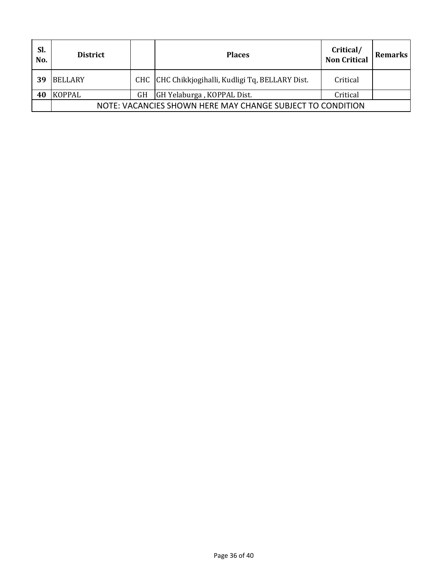| Sl.<br>No. | <b>District</b>                                            |    | <b>Places</b>                                     | Critical/<br><b>Non Critical</b> | <b>Remarks</b> |
|------------|------------------------------------------------------------|----|---------------------------------------------------|----------------------------------|----------------|
| 39         | <b>BELLARY</b>                                             |    | CHC CHC Chikkjogihalli, Kudligi Tq, BELLARY Dist. | Critical                         |                |
| 40         | <b>KOPPAL</b>                                              | GH | GH Yelaburga, KOPPAL Dist.                        | Critical                         |                |
|            | NOTE: VACANCIES SHOWN HERE MAY CHANGE SUBJECT TO CONDITION |    |                                                   |                                  |                |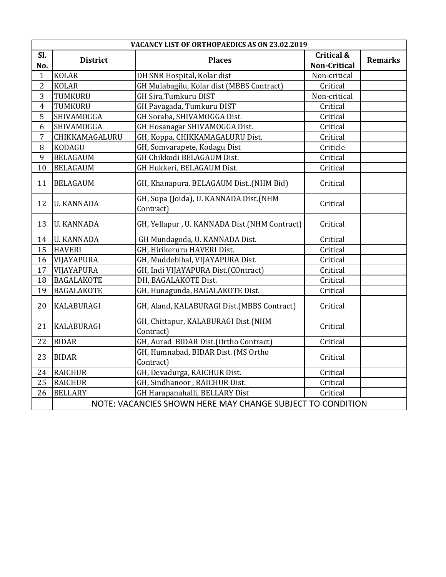|                | VACANCY LIST OF ORTHOPAEDICS AS ON 23.02.2019              |                                                     |                                              |                |  |  |  |  |
|----------------|------------------------------------------------------------|-----------------------------------------------------|----------------------------------------------|----------------|--|--|--|--|
| Sl.<br>No.     | <b>District</b>                                            | <b>Places</b>                                       | <b>Critical &amp;</b><br><b>Non-Critical</b> | <b>Remarks</b> |  |  |  |  |
| $\mathbf{1}$   | <b>KOLAR</b>                                               | DH SNR Hospital, Kolar dist                         | Non-critical                                 |                |  |  |  |  |
| $\overline{2}$ | <b>KOLAR</b>                                               | GH Mulabagilu, Kolar dist (MBBS Contract)           | Critical                                     |                |  |  |  |  |
| 3              | TUMKURU                                                    | GH Sira, Tumkuru DIST                               | Non-critical                                 |                |  |  |  |  |
| $\overline{4}$ | TUMKURU                                                    | GH Pavagada, Tumkuru DIST                           | Critical                                     |                |  |  |  |  |
| 5              | SHIVAMOGGA                                                 | GH Soraba, SHIVAMOGGA Dist.                         | Critical                                     |                |  |  |  |  |
| 6              | SHIVAMOGGA                                                 | GH Hosanagar SHIVAMOGGA Dist.                       | Critical                                     |                |  |  |  |  |
| $\overline{7}$ | CHIKKAMAGALURU                                             | GH, Koppa, CHIKKAMAGALURU Dist.                     | Critical                                     |                |  |  |  |  |
| 8              | <b>KODAGU</b>                                              | GH, Somvarapete, Kodagu Dist                        | Criticle                                     |                |  |  |  |  |
| 9              | <b>BELAGAUM</b>                                            | GH Chikkodi BELAGAUM Dist.                          | Critical                                     |                |  |  |  |  |
| 10             | <b>BELAGAUM</b>                                            | GH Hukkeri, BELAGAUM Dist.                          | Critical                                     |                |  |  |  |  |
| 11             | <b>BELAGAUM</b>                                            | GH, Khanapura, BELAGAUM Dist(NHM Bid)               | Critical                                     |                |  |  |  |  |
| 12             | <b>U. KANNADA</b>                                          | GH, Supa (Joida), U. KANNADA Dist.(NHM<br>Contract) | Critical                                     |                |  |  |  |  |
| 13             | <b>U. KANNADA</b>                                          | GH, Yellapur, U. KANNADA Dist.(NHM Contract)        | Critical                                     |                |  |  |  |  |
| 14             | <b>U. KANNADA</b>                                          | GH Mundagoda, U. KANNADA Dist.                      | Critical                                     |                |  |  |  |  |
| 15             | <b>HAVERI</b>                                              | GH, Hirikeruru HAVERI Dist.                         | Critical                                     |                |  |  |  |  |
| 16             | VIJAYAPURA                                                 | GH, Muddebihal, VIJAYAPURA Dist.                    | Critical                                     |                |  |  |  |  |
| 17             | VIJAYAPURA                                                 | GH, Indi VIJAYAPURA Dist.(COntract)                 | Critical                                     |                |  |  |  |  |
| 18             | <b>BAGALAKOTE</b>                                          | DH, BAGALAKOTE Dist.                                | Critical                                     |                |  |  |  |  |
| 19             | <b>BAGALAKOTE</b>                                          | GH, Hunagunda, BAGALAKOTE Dist.                     | Critical                                     |                |  |  |  |  |
| 20             | <b>KALABURAGI</b>                                          | GH, Aland, KALABURAGI Dist.(MBBS Contract)          | Critical                                     |                |  |  |  |  |
| 21             | <b>KALABURAGI</b>                                          | GH, Chittapur, KALABURAGI Dist.(NHM<br>Contract)    | Critical                                     |                |  |  |  |  |
| 22             | <b>BIDAR</b>                                               | GH, Aurad BIDAR Dist.(Ortho Contract)               | Critical                                     |                |  |  |  |  |
| 23             | <b>BIDAR</b>                                               | GH, Humnabad, BIDAR Dist. (MS Ortho<br>Contract)    | Critical                                     |                |  |  |  |  |
| 24             | <b>RAICHUR</b>                                             | GH, Devadurga, RAICHUR Dist.                        | Critical                                     |                |  |  |  |  |
| 25             | <b>RAICHUR</b>                                             | GH, Sindhanoor, RAICHUR Dist.                       | Critical                                     |                |  |  |  |  |
| 26             | <b>BELLARY</b>                                             | GH Harapanahalli, BELLARY Dist                      | Critical                                     |                |  |  |  |  |
|                | NOTE: VACANCIES SHOWN HERE MAY CHANGE SUBJECT TO CONDITION |                                                     |                                              |                |  |  |  |  |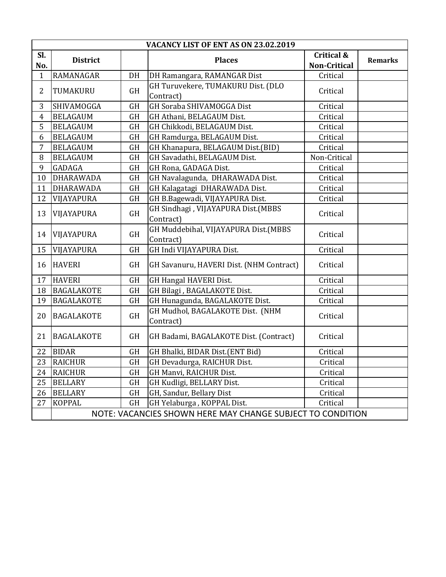|                | VACANCY LIST OF ENT AS ON 23.02.2019                       |           |                                                   |                                              |                |  |  |
|----------------|------------------------------------------------------------|-----------|---------------------------------------------------|----------------------------------------------|----------------|--|--|
| Sl.<br>No.     | <b>District</b>                                            |           | <b>Places</b>                                     | <b>Critical &amp;</b><br><b>Non-Critical</b> | <b>Remarks</b> |  |  |
| $\mathbf{1}$   | RAMANAGAR                                                  | $DH$      | DH Ramangara, RAMANGAR Dist                       | Critical                                     |                |  |  |
| $\overline{2}$ | TUMAKURU                                                   | GH        | GH Turuvekere, TUMAKURU Dist. (DLO<br>Contract)   | Critical                                     |                |  |  |
| 3              | SHIVAMOGGA                                                 | <b>GH</b> | GH Soraba SHIVAMOGGA Dist                         | Critical                                     |                |  |  |
| $\overline{4}$ | <b>BELAGAUM</b>                                            | <b>GH</b> | GH Athani, BELAGAUM Dist.                         | Critical                                     |                |  |  |
| 5              | <b>BELAGAUM</b>                                            | <b>GH</b> | GH Chikkodi, BELAGAUM Dist.                       | Critical                                     |                |  |  |
| 6              | <b>BELAGAUM</b>                                            | <b>GH</b> | GH Ramdurga, BELAGAUM Dist.                       | Critical                                     |                |  |  |
| $\overline{7}$ | <b>BELAGAUM</b>                                            | <b>GH</b> | GH Khanapura, BELAGAUM Dist.(BID)                 | Critical                                     |                |  |  |
| 8              | <b>BELAGAUM</b>                                            | <b>GH</b> | GH Savadathi, BELAGAUM Dist.                      | Non-Critical                                 |                |  |  |
| 9              | <b>GADAGA</b>                                              | <b>GH</b> | GH Rona, GADAGA Dist.                             | Critical                                     |                |  |  |
| 10             | <b>DHARAWADA</b>                                           | <b>GH</b> | GH Navalagunda, DHARAWADA Dist.                   | Critical                                     |                |  |  |
| 11             | <b>DHARAWADA</b>                                           | <b>GH</b> | GH Kalagatagi DHARAWADA Dist.                     | Critical                                     |                |  |  |
| 12             | VIJAYAPURA                                                 | GH        | GH B.Bagewadi, VIJAYAPURA Dist.                   | Critical                                     |                |  |  |
| 13             | VIJAYAPURA                                                 | <b>GH</b> | GH Sindhagi, VIJAYAPURA Dist.(MBBS<br>Contract)   | Critical                                     |                |  |  |
| 14             | VIJAYAPURA                                                 | <b>GH</b> | GH Muddebihal, VIJAYAPURA Dist.(MBBS<br>Contract) | Critical                                     |                |  |  |
| 15             | VIJAYAPURA                                                 | GH        | GH Indi VIJAYAPURA Dist.                          | Critical                                     |                |  |  |
| 16             | <b>HAVERI</b>                                              | <b>GH</b> | GH Savanuru, HAVERI Dist. (NHM Contract)          | Critical                                     |                |  |  |
| 17             | <b>HAVERI</b>                                              | GH        | GH Hangal HAVERI Dist.                            | Critical                                     |                |  |  |
| 18             | <b>BAGALAKOTE</b>                                          | <b>GH</b> | GH Bilagi, BAGALAKOTE Dist.                       | Critical                                     |                |  |  |
| 19             | <b>BAGALAKOTE</b>                                          | GH        | GH Hunagunda, BAGALAKOTE Dist.                    | Critical                                     |                |  |  |
| 20             | <b>BAGALAKOTE</b>                                          | GH        | GH Mudhol, BAGALAKOTE Dist. (NHM<br>Contract)     | Critical                                     |                |  |  |
| 21             | <b>BAGALAKOTE</b>                                          | <b>GH</b> | GH Badami, BAGALAKOTE Dist. (Contract)            | Critical                                     |                |  |  |
| 22             | <b>BIDAR</b>                                               | GH        | GH Bhalki, BIDAR Dist.(ENT Bid)                   | Critical                                     |                |  |  |
| 23             | <b>RAICHUR</b>                                             | <b>GH</b> | GH Devadurga, RAICHUR Dist.                       | Critical                                     |                |  |  |
| 24             | <b>RAICHUR</b>                                             | <b>GH</b> | GH Manvi, RAICHUR Dist.                           | Critical                                     |                |  |  |
| 25             | <b>BELLARY</b>                                             | <b>GH</b> | GH Kudligi, BELLARY Dist.                         | Critical                                     |                |  |  |
| 26             | <b>BELLARY</b>                                             | GH        | GH, Sandur, Bellary Dist                          | Critical                                     |                |  |  |
| 27             | <b>KOPPAL</b>                                              | <b>GH</b> | GH Yelaburga, KOPPAL Dist.                        | Critical                                     |                |  |  |
|                | NOTE: VACANCIES SHOWN HERE MAY CHANGE SUBJECT TO CONDITION |           |                                                   |                                              |                |  |  |